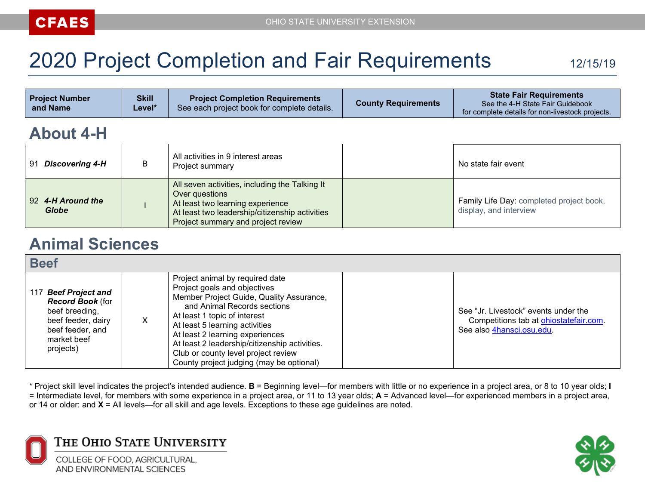# 2020 Project Completion and Fair Requirements 12/15/19

| <b>Project Number</b><br>and Name | <b>Skill</b><br>Level* | <b>Project Completion Requirements</b><br>See each project book for complete details. | <b>County Requirements</b> | <b>State Fair Requirements</b><br>See the 4-H State Fair Guidebook<br>for complete details for non-livestock projects. |  |
|-----------------------------------|------------------------|---------------------------------------------------------------------------------------|----------------------------|------------------------------------------------------------------------------------------------------------------------|--|
| <b>About 4-H</b>                  |                        |                                                                                       |                            |                                                                                                                        |  |
| 91 Discovering 4-H                | B                      | All activities in 9 interest areas<br>Project summary                                 |                            | No state fair event                                                                                                    |  |

|                            | . . v <sub>l</sub> v v v v v                                                                                                                                                                 |                                                                    |
|----------------------------|----------------------------------------------------------------------------------------------------------------------------------------------------------------------------------------------|--------------------------------------------------------------------|
| 92 4-H Around the<br>Globe | All seven activities, including the Talking It<br>Over questions<br>At least two learning experience<br>At least two leadership/citizenship activities<br>Project summary and project review | Family Life Day: completed project book,<br>display, and interview |

# **Animal Sciences**

#### **Beef**

| PGGI                                                                                                                                    |  |                                                                                                                                                                                                                                                                                                                                                                                     |  |                                                                                                             |  |
|-----------------------------------------------------------------------------------------------------------------------------------------|--|-------------------------------------------------------------------------------------------------------------------------------------------------------------------------------------------------------------------------------------------------------------------------------------------------------------------------------------------------------------------------------------|--|-------------------------------------------------------------------------------------------------------------|--|
| 117 Beef Project and<br><b>Record Book (for</b><br>beef breeding,<br>beef feeder, dairy<br>beef feeder, and<br>market beef<br>projects) |  | Project animal by required date<br>Project goals and objectives<br>Member Project Guide, Quality Assurance,<br>and Animal Records sections<br>At least 1 topic of interest<br>At least 5 learning activities<br>At least 2 learning experiences<br>At least 2 leadership/citizenship activities.<br>Club or county level project review<br>County project judging (may be optional) |  | See "Jr. Livestock" events under the<br>Competitions tab at ohiostatefair.com.<br>See also 4hansci.osu.edu. |  |



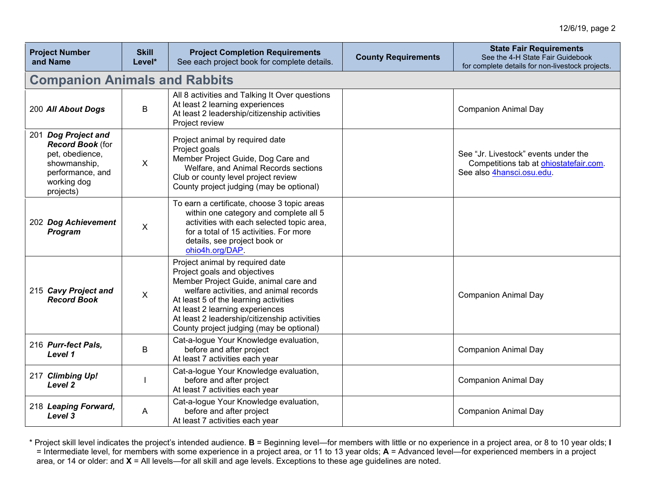| <b>Project Number</b><br>and Name                                                                                                 | <b>Skill</b><br>Level* | <b>Project Completion Requirements</b><br>See each project book for complete details.                                                                                                                                                                                                                                      | <b>County Requirements</b> | <b>State Fair Requirements</b><br>See the 4-H State Fair Guidebook<br>for complete details for non-livestock projects. |
|-----------------------------------------------------------------------------------------------------------------------------------|------------------------|----------------------------------------------------------------------------------------------------------------------------------------------------------------------------------------------------------------------------------------------------------------------------------------------------------------------------|----------------------------|------------------------------------------------------------------------------------------------------------------------|
| <b>Companion Animals and Rabbits</b>                                                                                              |                        |                                                                                                                                                                                                                                                                                                                            |                            |                                                                                                                        |
| 200 All About Dogs                                                                                                                | B                      | All 8 activities and Talking It Over questions<br>At least 2 learning experiences<br>At least 2 leadership/citizenship activities<br>Project review                                                                                                                                                                        |                            | <b>Companion Animal Day</b>                                                                                            |
| 201 Dog Project and<br><b>Record Book (for</b><br>pet, obedience,<br>showmanship,<br>performance, and<br>working dog<br>projects) | $\mathsf{X}$           | Project animal by required date<br>Project goals<br>Member Project Guide, Dog Care and<br>Welfare, and Animal Records sections<br>Club or county level project review<br>County project judging (may be optional)                                                                                                          |                            | See "Jr. Livestock" events under the<br>Competitions tab at ohiostatefair.com.<br>See also 4hansci.osu.edu.            |
| 202 Dog Achievement<br>Program                                                                                                    | X                      | To earn a certificate, choose 3 topic areas<br>within one category and complete all 5<br>activities with each selected topic area,<br>for a total of 15 activities. For more<br>details, see project book or<br>ohio4h.org/DAP.                                                                                            |                            |                                                                                                                        |
| 215 Cavy Project and<br><b>Record Book</b>                                                                                        | $\mathsf{X}$           | Project animal by required date<br>Project goals and objectives<br>Member Project Guide, animal care and<br>welfare activities, and animal records<br>At least 5 of the learning activities<br>At least 2 learning experiences<br>At least 2 leadership/citizenship activities<br>County project judging (may be optional) |                            | <b>Companion Animal Day</b>                                                                                            |
| 216 Purr-fect Pals,<br>Level 1                                                                                                    | B                      | Cat-a-logue Your Knowledge evaluation,<br>before and after project<br>At least 7 activities each year                                                                                                                                                                                                                      |                            | <b>Companion Animal Day</b>                                                                                            |
| 217 Climbing Up!<br>Level 2                                                                                                       |                        | Cat-a-logue Your Knowledge evaluation,<br>before and after project<br>At least 7 activities each year                                                                                                                                                                                                                      |                            | <b>Companion Animal Day</b>                                                                                            |
| 218 Leaping Forward,<br>Level 3                                                                                                   | A                      | Cat-a-logue Your Knowledge evaluation,<br>before and after project<br>At least 7 activities each year                                                                                                                                                                                                                      |                            | <b>Companion Animal Day</b>                                                                                            |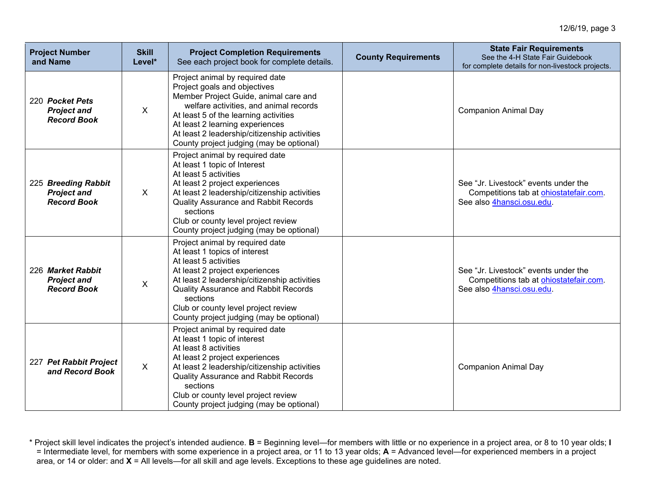| <b>Project Number</b><br>and Name                               | <b>Skill</b><br>Level* | <b>Project Completion Requirements</b><br>See each project book for complete details.                                                                                                                                                                                                                                      | <b>County Requirements</b> | <b>State Fair Requirements</b><br>See the 4-H State Fair Guidebook<br>for complete details for non-livestock projects. |
|-----------------------------------------------------------------|------------------------|----------------------------------------------------------------------------------------------------------------------------------------------------------------------------------------------------------------------------------------------------------------------------------------------------------------------------|----------------------------|------------------------------------------------------------------------------------------------------------------------|
| 220 Pocket Pets<br><b>Project and</b><br><b>Record Book</b>     | $\mathsf{X}$           | Project animal by required date<br>Project goals and objectives<br>Member Project Guide, animal care and<br>welfare activities, and animal records<br>At least 5 of the learning activities<br>At least 2 learning experiences<br>At least 2 leadership/citizenship activities<br>County project judging (may be optional) |                            | <b>Companion Animal Day</b>                                                                                            |
| 225 Breeding Rabbit<br><b>Project and</b><br><b>Record Book</b> | $\mathsf{X}$           | Project animal by required date<br>At least 1 topic of Interest<br>At least 5 activities<br>At least 2 project experiences<br>At least 2 leadership/citizenship activities<br><b>Quality Assurance and Rabbit Records</b><br>sections<br>Club or county level project review<br>County project judging (may be optional)   |                            | See "Jr. Livestock" events under the<br>Competitions tab at ohiostatefair.com.<br>See also 4hansci.osu.edu.            |
| 226 Market Rabbit<br><b>Project and</b><br><b>Record Book</b>   | $\mathsf{X}$           | Project animal by required date<br>At least 1 topics of interest<br>At least 5 activities<br>At least 2 project experiences<br>At least 2 leadership/citizenship activities<br><b>Quality Assurance and Rabbit Records</b><br>sections<br>Club or county level project review<br>County project judging (may be optional)  |                            | See "Jr. Livestock" events under the<br>Competitions tab at ohiostatefair.com.<br>See also 4hansci.osu.edu.            |
| 227 Pet Rabbit Project<br>and Record Book                       | $\mathsf{X}$           | Project animal by required date<br>At least 1 topic of interest<br>At least 8 activities<br>At least 2 project experiences<br>At least 2 leadership/citizenship activities<br><b>Quality Assurance and Rabbit Records</b><br>sections<br>Club or county level project review<br>County project judging (may be optional)   |                            | <b>Companion Animal Day</b>                                                                                            |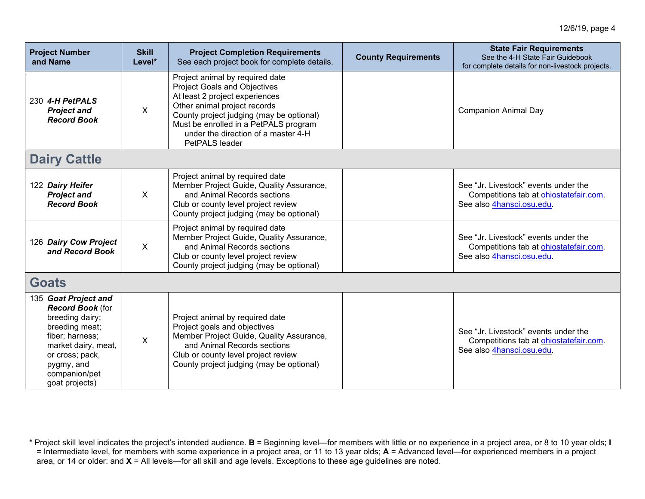| <b>Project Number</b><br>and Name                                                                                                                                                                  | <b>Skill</b><br>Level* | <b>Project Completion Requirements</b><br>See each project book for complete details.                                                                                                                                                                                                  | <b>County Requirements</b> | <b>State Fair Requirements</b><br>See the 4-H State Fair Guidebook<br>for complete details for non-livestock projects. |  |
|----------------------------------------------------------------------------------------------------------------------------------------------------------------------------------------------------|------------------------|----------------------------------------------------------------------------------------------------------------------------------------------------------------------------------------------------------------------------------------------------------------------------------------|----------------------------|------------------------------------------------------------------------------------------------------------------------|--|
| 230 4-H PetPALS<br><b>Project and</b><br><b>Record Book</b>                                                                                                                                        | $\mathsf{X}$           | Project animal by required date<br><b>Project Goals and Objectives</b><br>At least 2 project experiences<br>Other animal project records<br>County project judging (may be optional)<br>Must be enrolled in a PetPALS program<br>under the direction of a master 4-H<br>PetPALS leader |                            | <b>Companion Animal Day</b>                                                                                            |  |
| <b>Dairy Cattle</b>                                                                                                                                                                                |                        |                                                                                                                                                                                                                                                                                        |                            |                                                                                                                        |  |
| 122 Dairy Heifer<br><b>Project and</b><br><b>Record Book</b>                                                                                                                                       | $\mathsf{X}$           | Project animal by required date<br>Member Project Guide, Quality Assurance,<br>and Animal Records sections<br>Club or county level project review<br>County project judging (may be optional)                                                                                          |                            | See "Jr. Livestock" events under the<br>Competitions tab at ohiostatefair.com.<br>See also 4hansci.osu.edu.            |  |
| 126 Dairy Cow Project<br>and Record Book                                                                                                                                                           | X                      | Project animal by required date<br>Member Project Guide, Quality Assurance,<br>and Animal Records sections<br>Club or county level project review<br>County project judging (may be optional)                                                                                          |                            | See "Jr. Livestock" events under the<br>Competitions tab at ohiostatefair.com.<br>See also 4hansci.osu.edu.            |  |
| <b>Goats</b>                                                                                                                                                                                       |                        |                                                                                                                                                                                                                                                                                        |                            |                                                                                                                        |  |
| 135 Goat Project and<br><b>Record Book</b> (for<br>breeding dairy;<br>breeding meat;<br>fiber; harness;<br>market dairy, meat,<br>or cross; pack,<br>pygmy, and<br>companion/pet<br>goat projects) | X                      | Project animal by required date<br>Project goals and objectives<br>Member Project Guide, Quality Assurance,<br>and Animal Records sections<br>Club or county level project review<br>County project judging (may be optional)                                                          |                            | See "Jr. Livestock" events under the<br>Competitions tab at ohiostatefair.com.<br>See also 4hansci.osu.edu.            |  |

<sup>\*</sup> Project skill level indicates the project's intended audience. **B** = Beginning level—for members with little or no experience in a project area, or 8 to 10 year olds; **I** = Intermediate level, for members with some experience in a project area, or 11 to 13 year olds; **A** = Advanced level—for experienced members in a project area, or 14 or older: and **X** = All levels—for all skill and age levels. Exceptions to these age guidelines are noted.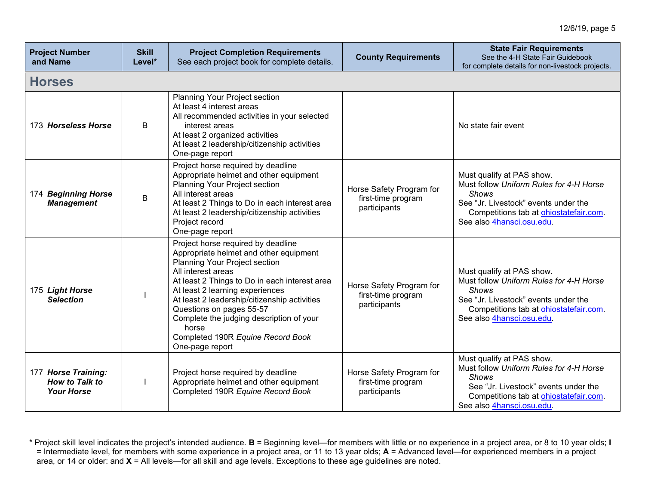| <b>Project Number</b><br>and Name                                 | <b>Skill</b><br>Level* | <b>Project Completion Requirements</b><br>See each project book for complete details.                                                                                                                                                                                                                                                                                                                            | <b>County Requirements</b>                                     | <b>State Fair Requirements</b><br>See the 4-H State Fair Guidebook<br>for complete details for non-livestock projects.                                                                                      |  |  |  |
|-------------------------------------------------------------------|------------------------|------------------------------------------------------------------------------------------------------------------------------------------------------------------------------------------------------------------------------------------------------------------------------------------------------------------------------------------------------------------------------------------------------------------|----------------------------------------------------------------|-------------------------------------------------------------------------------------------------------------------------------------------------------------------------------------------------------------|--|--|--|
| <b>Horses</b>                                                     |                        |                                                                                                                                                                                                                                                                                                                                                                                                                  |                                                                |                                                                                                                                                                                                             |  |  |  |
| 173 Horseless Horse                                               | B                      | Planning Your Project section<br>At least 4 interest areas<br>All recommended activities in your selected<br>interest areas<br>At least 2 organized activities<br>At least 2 leadership/citizenship activities<br>One-page report                                                                                                                                                                                |                                                                | No state fair event                                                                                                                                                                                         |  |  |  |
| 174 Beginning Horse<br><b>Management</b>                          | B                      | Project horse required by deadline<br>Appropriate helmet and other equipment<br>Planning Your Project section<br>All interest areas<br>At least 2 Things to Do in each interest area<br>At least 2 leadership/citizenship activities<br>Project record<br>One-page report                                                                                                                                        | Horse Safety Program for<br>first-time program<br>participants | Must qualify at PAS show.<br>Must follow Uniform Rules for 4-H Horse<br><b>Shows</b><br>See "Jr. Livestock" events under the<br>Competitions tab at ohiostatefair.com.<br>See also 4hansci.osu.edu.         |  |  |  |
| 175 Light Horse<br><b>Selection</b>                               |                        | Project horse required by deadline<br>Appropriate helmet and other equipment<br>Planning Your Project section<br>All interest areas<br>At least 2 Things to Do in each interest area<br>At least 2 learning experiences<br>At least 2 leadership/citizenship activities<br>Questions on pages 55-57<br>Complete the judging description of your<br>horse<br>Completed 190R Equine Record Book<br>One-page report | Horse Safety Program for<br>first-time program<br>participants | Must qualify at PAS show.<br>Must follow Uniform Rules for 4-H Horse<br>Shows<br>See "Jr. Livestock" events under the<br>Competitions tab at ohiostatefair.com.<br>See also 4hansci.osu.edu.                |  |  |  |
| 177 Horse Training:<br><b>How to Talk to</b><br><b>Your Horse</b> |                        | Project horse required by deadline<br>Appropriate helmet and other equipment<br>Completed 190R Equine Record Book                                                                                                                                                                                                                                                                                                | Horse Safety Program for<br>first-time program<br>participants | Must qualify at PAS show.<br>Must follow Uniform Rules for 4-H Horse<br><b>Shows</b><br>See "Jr. Livestock" events under the<br>Competitions tab at <b>ohiostatefair.com</b> .<br>See also 4hansci.osu.edu. |  |  |  |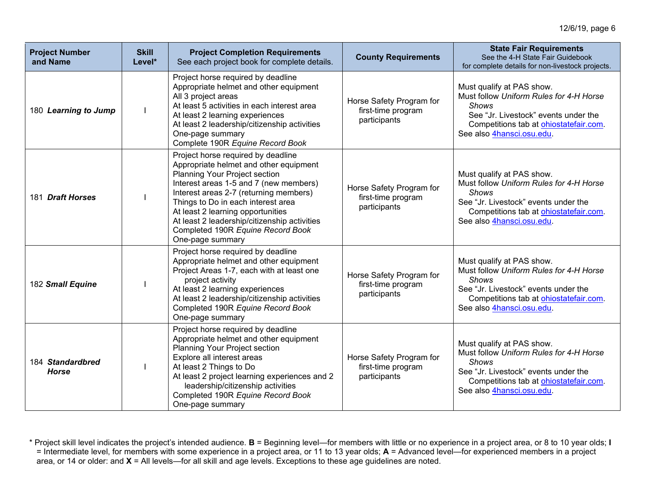| <b>Project Number</b><br>and Name | <b>Skill</b><br>Level* | <b>Project Completion Requirements</b><br>See each project book for complete details.                                                                                                                                                                                                                                                                                                 | <b>County Requirements</b>                                     | <b>State Fair Requirements</b><br>See the 4-H State Fair Guidebook<br>for complete details for non-livestock projects.                                                                              |
|-----------------------------------|------------------------|---------------------------------------------------------------------------------------------------------------------------------------------------------------------------------------------------------------------------------------------------------------------------------------------------------------------------------------------------------------------------------------|----------------------------------------------------------------|-----------------------------------------------------------------------------------------------------------------------------------------------------------------------------------------------------|
| 180 Learning to Jump              |                        | Project horse required by deadline<br>Appropriate helmet and other equipment<br>All 3 project areas<br>At least 5 activities in each interest area<br>At least 2 learning experiences<br>At least 2 leadership/citizenship activities<br>One-page summary<br>Complete 190R Equine Record Book                                                                                         | Horse Safety Program for<br>first-time program<br>participants | Must qualify at PAS show.<br>Must follow Uniform Rules for 4-H Horse<br><b>Shows</b><br>See "Jr. Livestock" events under the<br>Competitions tab at ohiostatefair.com.<br>See also 4hansci.osu.edu. |
| 181 Draft Horses                  |                        | Project horse required by deadline<br>Appropriate helmet and other equipment<br>Planning Your Project section<br>Interest areas 1-5 and 7 (new members)<br>Interest areas 2-7 (returning members)<br>Things to Do in each interest area<br>At least 2 learning opportunities<br>At least 2 leadership/citizenship activities<br>Completed 190R Equine Record Book<br>One-page summary | Horse Safety Program for<br>first-time program<br>participants | Must qualify at PAS show.<br>Must follow Uniform Rules for 4-H Horse<br><b>Shows</b><br>See "Jr. Livestock" events under the<br>Competitions tab at ohiostatefair.com.<br>See also 4hansci.osu.edu. |
| 182 Small Equine                  |                        | Project horse required by deadline<br>Appropriate helmet and other equipment<br>Project Areas 1-7, each with at least one<br>project activity<br>At least 2 learning experiences<br>At least 2 leadership/citizenship activities<br>Completed 190R Equine Record Book<br>One-page summary                                                                                             | Horse Safety Program for<br>first-time program<br>participants | Must qualify at PAS show.<br>Must follow Uniform Rules for 4-H Horse<br><b>Shows</b><br>See "Jr. Livestock" events under the<br>Competitions tab at ohiostatefair.com.<br>See also 4hansci.osu.edu. |
| 184 Standardbred<br><b>Horse</b>  |                        | Project horse required by deadline<br>Appropriate helmet and other equipment<br><b>Planning Your Project section</b><br>Explore all interest areas<br>At least 2 Things to Do<br>At least 2 project learning experiences and 2<br>leadership/citizenship activities<br>Completed 190R Equine Record Book<br>One-page summary                                                          | Horse Safety Program for<br>first-time program<br>participants | Must qualify at PAS show.<br>Must follow Uniform Rules for 4-H Horse<br><b>Shows</b><br>See "Jr. Livestock" events under the<br>Competitions tab at ohiostatefair.com.<br>See also 4hansci.osu.edu. |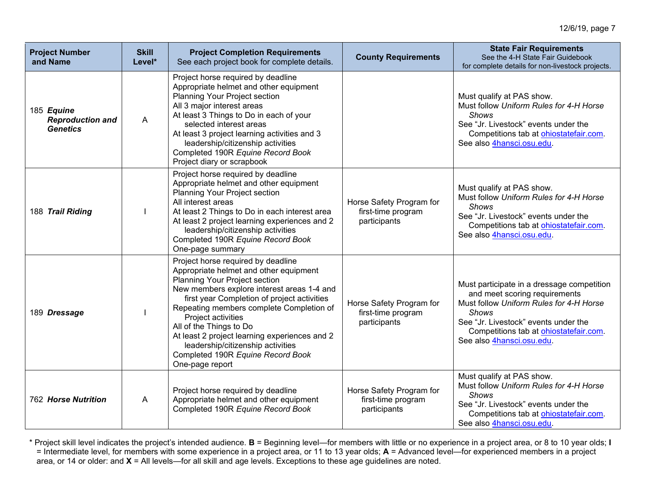| <b>Project Number</b><br>and Name                        | <b>Skill</b><br>Level* | <b>Project Completion Requirements</b><br>See each project book for complete details.                                                                                                                                                                                                                                                                                                                                                                 | <b>County Requirements</b>                                     | <b>State Fair Requirements</b><br>See the 4-H State Fair Guidebook<br>for complete details for non-livestock projects.                                                                                                                                |
|----------------------------------------------------------|------------------------|-------------------------------------------------------------------------------------------------------------------------------------------------------------------------------------------------------------------------------------------------------------------------------------------------------------------------------------------------------------------------------------------------------------------------------------------------------|----------------------------------------------------------------|-------------------------------------------------------------------------------------------------------------------------------------------------------------------------------------------------------------------------------------------------------|
| 185 Equine<br><b>Reproduction and</b><br><b>Genetics</b> | $\mathsf{A}$           | Project horse required by deadline<br>Appropriate helmet and other equipment<br>Planning Your Project section<br>All 3 major interest areas<br>At least 3 Things to Do in each of your<br>selected interest areas<br>At least 3 project learning activities and 3<br>leadership/citizenship activities<br>Completed 190R Equine Record Book<br>Project diary or scrapbook                                                                             |                                                                | Must qualify at PAS show.<br>Must follow Uniform Rules for 4-H Horse<br><b>Shows</b><br>See "Jr. Livestock" events under the<br>Competitions tab at ohiostatefair.com.<br>See also 4hansci.osu.edu.                                                   |
| 188 Trail Riding                                         |                        | Project horse required by deadline<br>Appropriate helmet and other equipment<br>Planning Your Project section<br>All interest areas<br>At least 2 Things to Do in each interest area<br>At least 2 project learning experiences and 2<br>leadership/citizenship activities<br>Completed 190R Equine Record Book<br>One-page summary                                                                                                                   | Horse Safety Program for<br>first-time program<br>participants | Must qualify at PAS show.<br>Must follow Uniform Rules for 4-H Horse<br><b>Shows</b><br>See "Jr. Livestock" events under the<br>Competitions tab at ohiostatefair.com.<br>See also 4hansci.osu.edu.                                                   |
| 189 Dressage                                             |                        | Project horse required by deadline<br>Appropriate helmet and other equipment<br>Planning Your Project section<br>New members explore interest areas 1-4 and<br>first year Completion of project activities<br>Repeating members complete Completion of<br>Project activities<br>All of the Things to Do<br>At least 2 project learning experiences and 2<br>leadership/citizenship activities<br>Completed 190R Equine Record Book<br>One-page report | Horse Safety Program for<br>first-time program<br>participants | Must participate in a dressage competition<br>and meet scoring requirements<br>Must follow Uniform Rules for 4-H Horse<br><b>Shows</b><br>See "Jr. Livestock" events under the<br>Competitions tab at ohiostatefair.com.<br>See also 4hansci.osu.edu. |
| <b>762 Horse Nutrition</b>                               | A                      | Project horse required by deadline<br>Appropriate helmet and other equipment<br>Completed 190R Equine Record Book                                                                                                                                                                                                                                                                                                                                     | Horse Safety Program for<br>first-time program<br>participants | Must qualify at PAS show.<br>Must follow Uniform Rules for 4-H Horse<br><b>Shows</b><br>See "Jr. Livestock" events under the<br>Competitions tab at <b>ohiostatefair.com</b> .<br>See also 4hansci.osu.edu.                                           |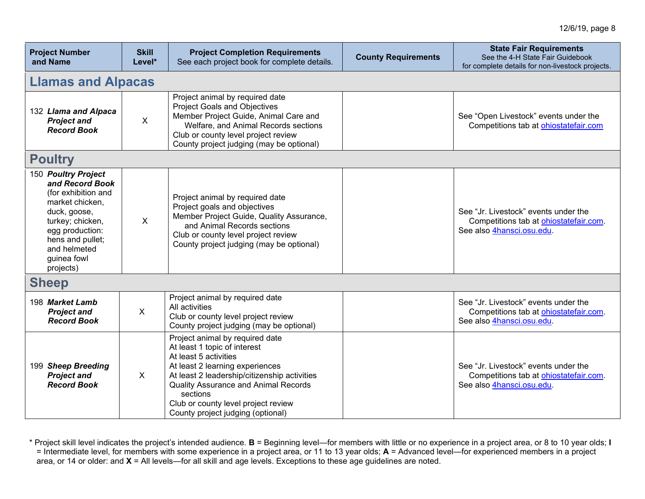| <b>Project Number</b><br>and Name                                                                                                                                                                       | <b>Skill</b><br>Level* | <b>Project Completion Requirements</b><br>See each project book for complete details.                                                                                                                                                                                                                              | <b>County Requirements</b> | <b>State Fair Requirements</b><br>See the 4-H State Fair Guidebook<br>for complete details for non-livestock projects. |  |
|---------------------------------------------------------------------------------------------------------------------------------------------------------------------------------------------------------|------------------------|--------------------------------------------------------------------------------------------------------------------------------------------------------------------------------------------------------------------------------------------------------------------------------------------------------------------|----------------------------|------------------------------------------------------------------------------------------------------------------------|--|
| <b>Llamas and Alpacas</b>                                                                                                                                                                               |                        |                                                                                                                                                                                                                                                                                                                    |                            |                                                                                                                        |  |
| 132 Llama and Alpaca<br><b>Project and</b><br><b>Record Book</b>                                                                                                                                        | $\mathsf{X}$           | Project animal by required date<br><b>Project Goals and Objectives</b><br>Member Project Guide, Animal Care and<br>Welfare, and Animal Records sections<br>Club or county level project review<br>County project judging (may be optional)                                                                         |                            | See "Open Livestock" events under the<br>Competitions tab at ohiostatefair.com                                         |  |
| <b>Poultry</b>                                                                                                                                                                                          |                        |                                                                                                                                                                                                                                                                                                                    |                            |                                                                                                                        |  |
| 150 Poultry Project<br>and Record Book<br>(for exhibition and<br>market chicken,<br>duck, goose,<br>turkey; chicken,<br>egg production:<br>hens and pullet;<br>and helmeted<br>guinea fowl<br>projects) | $\mathsf{X}$           | Project animal by required date<br>Project goals and objectives<br>Member Project Guide, Quality Assurance,<br>and Animal Records sections<br>Club or county level project review<br>County project judging (may be optional)                                                                                      |                            | See "Jr. Livestock" events under the<br>Competitions tab at ohiostatefair.com.<br>See also 4hansci.osu.edu.            |  |
| <b>Sheep</b>                                                                                                                                                                                            |                        |                                                                                                                                                                                                                                                                                                                    |                            |                                                                                                                        |  |
| 198 Market Lamb<br><b>Project and</b><br><b>Record Book</b>                                                                                                                                             | $\pmb{\times}$         | Project animal by required date<br>All activities<br>Club or county level project review<br>County project judging (may be optional)                                                                                                                                                                               |                            | See "Jr. Livestock" events under the<br>Competitions tab at ohiostatefair.com.<br>See also 4hansci.osu.edu.            |  |
| 199 Sheep Breeding<br><b>Project and</b><br><b>Record Book</b>                                                                                                                                          | X                      | Project animal by required date<br>At least 1 topic of interest<br>At least 5 activities<br>At least 2 learning experiences<br>At least 2 leadership/citizenship activities<br><b>Quality Assurance and Animal Records</b><br>sections<br>Club or county level project review<br>County project judging (optional) |                            | See "Jr. Livestock" events under the<br>Competitions tab at ohiostatefair.com.<br>See also 4hansci.osu.edu.            |  |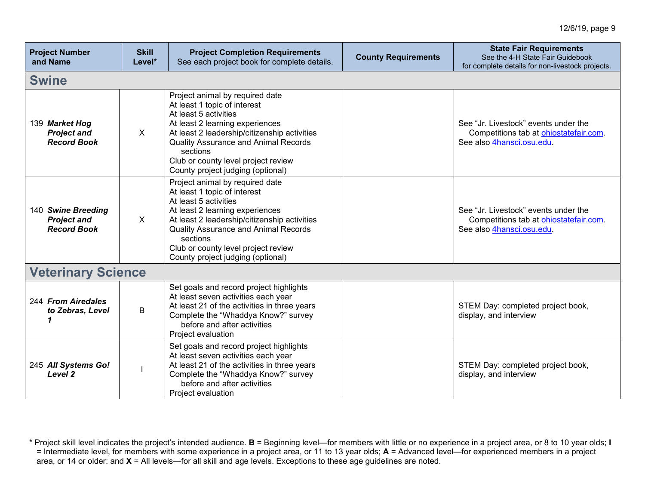| <b>Project Number</b><br>and Name                              | <b>Skill</b><br>Level* | <b>Project Completion Requirements</b><br>See each project book for complete details.                                                                                                                                                                                                                              | <b>County Requirements</b> | <b>State Fair Requirements</b><br>See the 4-H State Fair Guidebook<br>for complete details for non-livestock projects. |  |  |  |
|----------------------------------------------------------------|------------------------|--------------------------------------------------------------------------------------------------------------------------------------------------------------------------------------------------------------------------------------------------------------------------------------------------------------------|----------------------------|------------------------------------------------------------------------------------------------------------------------|--|--|--|
| <b>Swine</b>                                                   |                        |                                                                                                                                                                                                                                                                                                                    |                            |                                                                                                                        |  |  |  |
| 139 Market Hog<br><b>Project and</b><br><b>Record Book</b>     | X                      | Project animal by required date<br>At least 1 topic of interest<br>At least 5 activities<br>At least 2 learning experiences<br>At least 2 leadership/citizenship activities<br><b>Quality Assurance and Animal Records</b><br>sections<br>Club or county level project review<br>County project judging (optional) |                            | See "Jr. Livestock" events under the<br>Competitions tab at ohiostatefair.com.<br>See also 4hansci.osu.edu.            |  |  |  |
| 140 Swine Breeding<br><b>Project and</b><br><b>Record Book</b> | X                      | Project animal by required date<br>At least 1 topic of interest<br>At least 5 activities<br>At least 2 learning experiences<br>At least 2 leadership/citizenship activities<br><b>Quality Assurance and Animal Records</b><br>sections<br>Club or county level project review<br>County project judging (optional) |                            | See "Jr. Livestock" events under the<br>Competitions tab at ohiostatefair.com.<br>See also 4hansci.osu.edu.            |  |  |  |
| <b>Veterinary Science</b>                                      |                        |                                                                                                                                                                                                                                                                                                                    |                            |                                                                                                                        |  |  |  |
| 244 From Airedales<br>to Zebras, Level                         | B                      | Set goals and record project highlights<br>At least seven activities each year<br>At least 21 of the activities in three years<br>Complete the "Whaddya Know?" survey<br>before and after activities<br>Project evaluation                                                                                         |                            | STEM Day: completed project book,<br>display, and interview                                                            |  |  |  |
| 245 All Systems Go!<br>Level <sub>2</sub>                      |                        | Set goals and record project highlights<br>At least seven activities each year<br>At least 21 of the activities in three years<br>Complete the "Whaddya Know?" survey<br>before and after activities<br>Project evaluation                                                                                         |                            | STEM Day: completed project book,<br>display, and interview                                                            |  |  |  |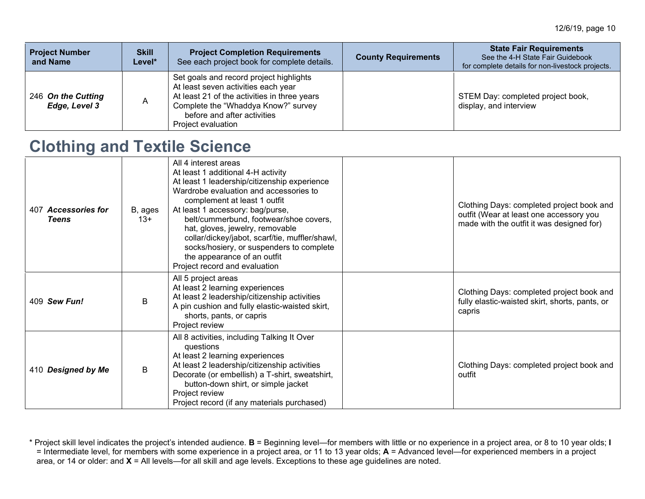| <b>Project Number</b><br>and Name   | <b>Skill</b><br>Level* | <b>Project Completion Requirements</b><br>See each project book for complete details.                                                                                                                                      | <b>County Requirements</b> | <b>State Fair Requirements</b><br>See the 4-H State Fair Guidebook<br>for complete details for non-livestock projects. |
|-------------------------------------|------------------------|----------------------------------------------------------------------------------------------------------------------------------------------------------------------------------------------------------------------------|----------------------------|------------------------------------------------------------------------------------------------------------------------|
| 246 On the Cutting<br>Edge, Level 3 |                        | Set goals and record project highlights<br>At least seven activities each year<br>At least 21 of the activities in three years<br>Complete the "Whaddya Know?" survey<br>before and after activities<br>Project evaluation |                            | STEM Day: completed project book,<br>display, and interview                                                            |

### **Clothing and Textile Science**

| 407 Accessories for<br><b>Teens</b> | B, ages<br>$13+$ | All 4 interest areas<br>At least 1 additional 4-H activity<br>At least 1 leadership/citizenship experience<br>Wardrobe evaluation and accessories to<br>complement at least 1 outfit<br>At least 1 accessory: bag/purse,<br>belt/cummerbund, footwear/shoe covers,<br>hat, gloves, jewelry, removable<br>collar/dickey/jabot, scarf/tie, muffler/shawl,<br>socks/hosiery, or suspenders to complete<br>the appearance of an outfit<br>Project record and evaluation | Clothing Days: completed project book and<br>outfit (Wear at least one accessory you<br>made with the outfit it was designed for) |
|-------------------------------------|------------------|---------------------------------------------------------------------------------------------------------------------------------------------------------------------------------------------------------------------------------------------------------------------------------------------------------------------------------------------------------------------------------------------------------------------------------------------------------------------|-----------------------------------------------------------------------------------------------------------------------------------|
| 409 Sew Fun!                        | B                | All 5 project areas<br>At least 2 learning experiences<br>At least 2 leadership/citizenship activities<br>A pin cushion and fully elastic-waisted skirt,<br>shorts, pants, or capris<br>Project review                                                                                                                                                                                                                                                              | Clothing Days: completed project book and<br>fully elastic-waisted skirt, shorts, pants, or<br>capris                             |
| 410 Designed by Me                  | B                | All 8 activities, including Talking It Over<br>questions<br>At least 2 learning experiences<br>At least 2 leadership/citizenship activities<br>Decorate (or embellish) a T-shirt, sweatshirt,<br>button-down shirt, or simple jacket<br>Project review<br>Project record (if any materials purchased)                                                                                                                                                               | Clothing Days: completed project book and<br>outfit                                                                               |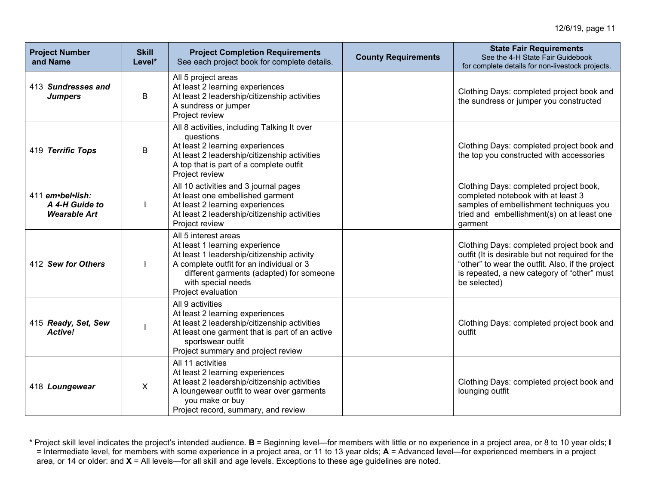| <b>Project Number</b><br>and Name                         | <b>Skill</b><br>Level* | <b>Project Completion Requirements</b><br>See each project book for complete details.                                                                                                                                                    | <b>County Requirements</b> | <b>State Fair Requirements</b><br>See the 4-H State Fair Guidebook<br>for complete details for non-livestock projects.                                                                                           |
|-----------------------------------------------------------|------------------------|------------------------------------------------------------------------------------------------------------------------------------------------------------------------------------------------------------------------------------------|----------------------------|------------------------------------------------------------------------------------------------------------------------------------------------------------------------------------------------------------------|
| 413 Sundresses and<br><b>Jumpers</b>                      | B                      | All 5 project areas<br>At least 2 learning experiences<br>At least 2 leadership/citizenship activities<br>A sundress or jumper<br>Project review                                                                                         |                            | Clothing Days: completed project book and<br>the sundress or jumper you constructed                                                                                                                              |
| 419 Terrific Tops                                         | B                      | All 8 activities, including Talking It over<br>questions<br>At least 2 learning experiences<br>At least 2 leadership/citizenship activities<br>A top that is part of a complete outfit<br>Project review                                 |                            | Clothing Days: completed project book and<br>the top you constructed with accessories                                                                                                                            |
| 411 em•bel•lish:<br>A 4-H Guide to<br><b>Wearable Art</b> |                        | All 10 activities and 3 journal pages<br>At least one embellished garment<br>At least 2 learning experiences<br>At least 2 leadership/citizenship activities<br>Project review                                                           |                            | Clothing Days: completed project book,<br>completed notebook with at least 3<br>samples of embellishment techniques you<br>tried and embellishment(s) on at least one<br>garment                                 |
| 412 Sew for Others                                        |                        | All 5 interest areas<br>At least 1 learning experience<br>At least 1 leadership/citizenship activity<br>A complete outfit for an individual or 3<br>different garments (adapted) for someone<br>with special needs<br>Project evaluation |                            | Clothing Days: completed project book and<br>outfit (It is desirable but not required for the<br>"other" to wear the outfit. Also, if the project<br>is repeated, a new category of "other" must<br>be selected) |
| 415 Ready, Set, Sew<br><b>Active!</b>                     |                        | All 9 activities<br>At least 2 learning experiences<br>At least 2 leadership/citizenship activities<br>At least one garment that is part of an active<br>sportswear outfit<br>Project summary and project review                         |                            | Clothing Days: completed project book and<br>outfit                                                                                                                                                              |
| 418 Loungewear                                            | $\mathsf{X}$           | All 11 activities<br>At least 2 learning experiences<br>At least 2 leadership/citizenship activities<br>A loungewear outfit to wear over garments<br>you make or buy<br>Project record, summary, and review                              |                            | Clothing Days: completed project book and<br>lounging outfit                                                                                                                                                     |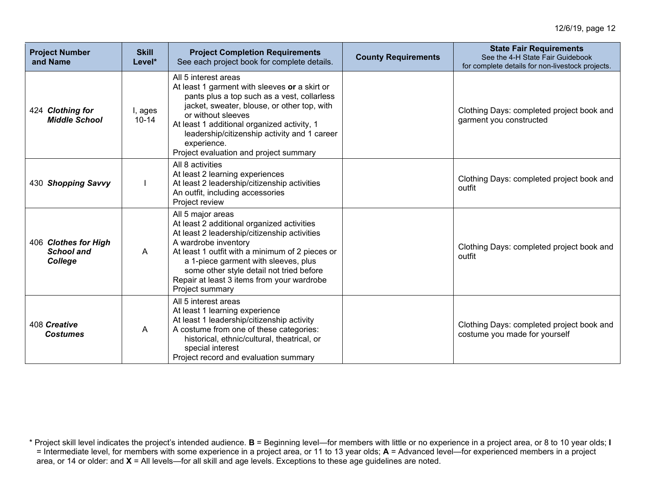| <b>Project Number</b><br>and Name                    | <b>Skill</b><br>Level* | <b>Project Completion Requirements</b><br>See each project book for complete details.                                                                                                                                                                                                                                                             | <b>County Requirements</b> | <b>State Fair Requirements</b><br>See the 4-H State Fair Guidebook<br>for complete details for non-livestock projects. |
|------------------------------------------------------|------------------------|---------------------------------------------------------------------------------------------------------------------------------------------------------------------------------------------------------------------------------------------------------------------------------------------------------------------------------------------------|----------------------------|------------------------------------------------------------------------------------------------------------------------|
| 424 Clothing for<br><b>Middle School</b>             | I, ages<br>$10 - 14$   | All 5 interest areas<br>At least 1 garment with sleeves or a skirt or<br>pants plus a top such as a vest, collarless<br>jacket, sweater, blouse, or other top, with<br>or without sleeves<br>At least 1 additional organized activity, 1<br>leadership/citizenship activity and 1 career<br>experience.<br>Project evaluation and project summary |                            | Clothing Days: completed project book and<br>garment you constructed                                                   |
| 430 Shopping Savvy                                   |                        | All 8 activities<br>At least 2 learning experiences<br>At least 2 leadership/citizenship activities<br>An outfit, including accessories<br>Project review                                                                                                                                                                                         |                            | Clothing Days: completed project book and<br>outfit                                                                    |
| 406 Clothes for High<br><b>School and</b><br>College | A                      | All 5 major areas<br>At least 2 additional organized activities<br>At least 2 leadership/citizenship activities<br>A wardrobe inventory<br>At least 1 outfit with a minimum of 2 pieces or<br>a 1-piece garment with sleeves, plus<br>some other style detail not tried before<br>Repair at least 3 items from your wardrobe<br>Project summary   |                            | Clothing Days: completed project book and<br>outfit                                                                    |
| 408 Creative<br><b>Costumes</b>                      | A                      | All 5 interest areas<br>At least 1 learning experience<br>At least 1 leadership/citizenship activity<br>A costume from one of these categories:<br>historical, ethnic/cultural, theatrical, or<br>special interest<br>Project record and evaluation summary                                                                                       |                            | Clothing Days: completed project book and<br>costume you made for yourself                                             |

<sup>\*</sup> Project skill level indicates the project's intended audience. **B** = Beginning level—for members with little or no experience in a project area, or 8 to 10 year olds; **I** = Intermediate level, for members with some experience in a project area, or 11 to 13 year olds; **A** = Advanced level—for experienced members in a project area, or 14 or older: and **X** = All levels—for all skill and age levels. Exceptions to these age guidelines are noted.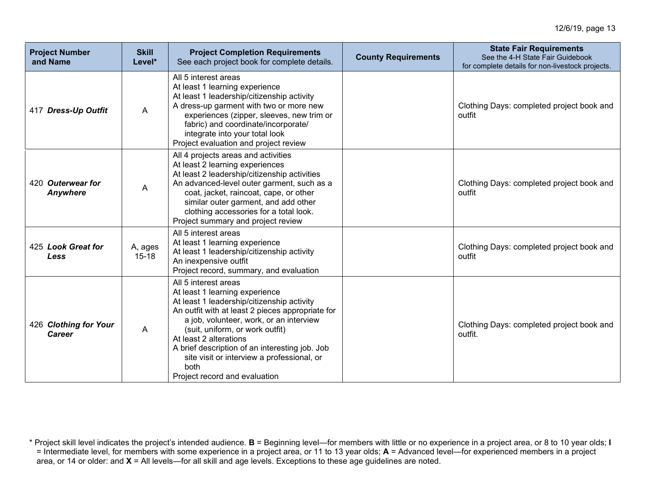| <b>Project Number</b><br>and Name | <b>Skill</b><br>Level* | <b>Project Completion Requirements</b><br>See each project book for complete details.                                                                                                                                                                                                                                                                                                                     | <b>County Requirements</b> | <b>State Fair Requirements</b><br>See the 4-H State Fair Guidebook<br>for complete details for non-livestock projects. |
|-----------------------------------|------------------------|-----------------------------------------------------------------------------------------------------------------------------------------------------------------------------------------------------------------------------------------------------------------------------------------------------------------------------------------------------------------------------------------------------------|----------------------------|------------------------------------------------------------------------------------------------------------------------|
| 417 Dress-Up Outfit               | A                      | All 5 interest areas<br>At least 1 learning experience<br>At least 1 leadership/citizenship activity<br>A dress-up garment with two or more new<br>experiences (zipper, sleeves, new trim or<br>fabric) and coordinate/incorporate/<br>integrate into your total look<br>Project evaluation and project review                                                                                            |                            | Clothing Days: completed project book and<br>outfit                                                                    |
| 420 Outerwear for<br>Anywhere     | A                      | All 4 projects areas and activities<br>At least 2 learning experiences<br>At least 2 leadership/citizenship activities<br>An advanced-level outer garment, such as a<br>coat, jacket, raincoat, cape, or other<br>similar outer garment, and add other<br>clothing accessories for a total look.<br>Project summary and project review                                                                    |                            | Clothing Days: completed project book and<br>outfit                                                                    |
| 425 Look Great for<br>Less        | A, ages<br>$15 - 18$   | All 5 interest areas<br>At least 1 learning experience<br>At least 1 leadership/citizenship activity<br>An inexpensive outfit<br>Project record, summary, and evaluation                                                                                                                                                                                                                                  |                            | Clothing Days: completed project book and<br>outfit                                                                    |
| 426 Clothing for Your<br>Career   | A                      | All 5 interest areas<br>At least 1 learning experience<br>At least 1 leadership/citizenship activity<br>An outfit with at least 2 pieces appropriate for<br>a job, volunteer, work, or an interview<br>(suit, uniform, or work outfit)<br>At least 2 alterations<br>A brief description of an interesting job. Job<br>site visit or interview a professional, or<br>both<br>Project record and evaluation |                            | Clothing Days: completed project book and<br>outfit.                                                                   |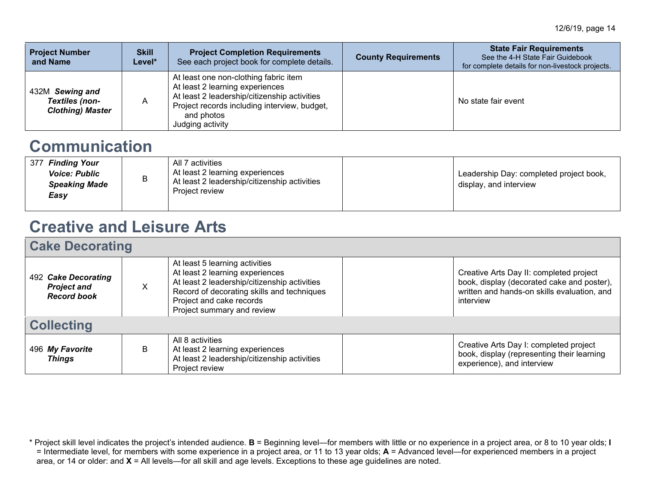| <b>Project Number</b><br>and Name                            | <b>Skill</b><br>Level* | <b>Project Completion Requirements</b><br>See each project book for complete details.                                                                                                                      | <b>County Requirements</b> | <b>State Fair Requirements</b><br>See the 4-H State Fair Guidebook<br>for complete details for non-livestock projects. |
|--------------------------------------------------------------|------------------------|------------------------------------------------------------------------------------------------------------------------------------------------------------------------------------------------------------|----------------------------|------------------------------------------------------------------------------------------------------------------------|
| 432M Sewing and<br>Textiles (non-<br><b>Clothing) Master</b> |                        | At least one non-clothing fabric item<br>At least 2 learning experiences<br>At least 2 leadership/citizenship activities<br>Project records including interview, budget,<br>and photos<br>Judging activity |                            | No state fair event                                                                                                    |

### **Communication**

# **Creative and Leisure Arts**

| <b>Cake Decorating</b>                                          |   |                                                                                                                                                                                                                           |  |                                                                                                                                                   |  |
|-----------------------------------------------------------------|---|---------------------------------------------------------------------------------------------------------------------------------------------------------------------------------------------------------------------------|--|---------------------------------------------------------------------------------------------------------------------------------------------------|--|
| 492 Cake Decorating<br><b>Project and</b><br><b>Record book</b> | X | At least 5 learning activities<br>At least 2 learning experiences<br>At least 2 leadership/citizenship activities<br>Record of decorating skills and techniques<br>Project and cake records<br>Project summary and review |  | Creative Arts Day II: completed project<br>book, display (decorated cake and poster),<br>written and hands-on skills evaluation, and<br>interview |  |
| <b>Collecting</b>                                               |   |                                                                                                                                                                                                                           |  |                                                                                                                                                   |  |
| 496 My Favorite<br><b>Things</b>                                | B | All 8 activities<br>At least 2 learning experiences<br>At least 2 leadership/citizenship activities<br>Project review                                                                                                     |  | Creative Arts Day I: completed project<br>book, display (representing their learning<br>experience), and interview                                |  |

<sup>\*</sup> Project skill level indicates the project's intended audience. **B** = Beginning level—for members with little or no experience in a project area, or 8 to 10 year olds; **I** = Intermediate level, for members with some experience in a project area, or 11 to 13 year olds; **A** = Advanced level—for experienced members in a project area, or 14 or older: and **X** = All levels—for all skill and age levels. Exceptions to these age guidelines are noted.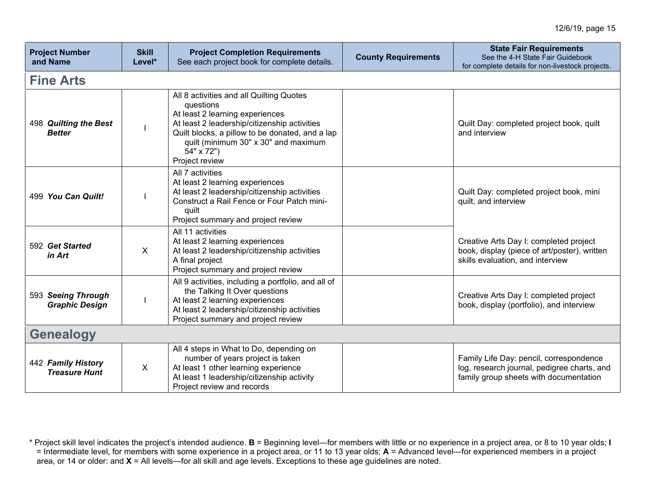| <b>Project Number</b><br>and Name           | <b>Skill</b><br>Level* | <b>Project Completion Requirements</b><br>See each project book for complete details.                                                                                                                                                                               | <b>County Requirements</b> | <b>State Fair Requirements</b><br>See the 4-H State Fair Guidebook<br>for complete details for non-livestock projects.           |
|---------------------------------------------|------------------------|---------------------------------------------------------------------------------------------------------------------------------------------------------------------------------------------------------------------------------------------------------------------|----------------------------|----------------------------------------------------------------------------------------------------------------------------------|
| <b>Fine Arts</b>                            |                        |                                                                                                                                                                                                                                                                     |                            |                                                                                                                                  |
| 498 Quilting the Best<br><b>Better</b>      |                        | All 8 activities and all Quilting Quotes<br>questions<br>At least 2 learning experiences<br>At least 2 leadership/citizenship activities<br>Quilt blocks, a pillow to be donated, and a lap<br>quilt (minimum 30" x 30" and maximum<br>54" x 72")<br>Project review |                            | Quilt Day: completed project book, quilt<br>and interview                                                                        |
| 499 You Can Quilt!                          |                        | All 7 activities<br>At least 2 learning experiences<br>At least 2 leadership/citizenship activities<br>Construct a Rail Fence or Four Patch mini-<br>quilt<br>Project summary and project review                                                                    |                            | Quilt Day: completed project book, mini<br>quilt, and interview                                                                  |
| 592 Get Started<br>in Art                   | $\sf X$                | All 11 activities<br>At least 2 learning experiences<br>At least 2 leadership/citizenship activities<br>A final project<br>Project summary and project review                                                                                                       |                            | Creative Arts Day I: completed project<br>book, display (piece of art/poster), written<br>skills evaluation, and interview       |
| 593 Seeing Through<br><b>Graphic Design</b> |                        | All 9 activities, including a portfolio, and all of<br>the Talking It Over questions<br>At least 2 learning experiences<br>At least 2 leadership/citizenship activities<br>Project summary and project review                                                       |                            | Creative Arts Day I: completed project<br>book, display (portfolio), and interview                                               |
| <b>Genealogy</b>                            |                        |                                                                                                                                                                                                                                                                     |                            |                                                                                                                                  |
| 442 Family History<br><b>Treasure Hunt</b>  | X                      | All 4 steps in What to Do, depending on<br>number of years project is taken<br>At least 1 other learning experience<br>At least 1 leadership/citizenship activity<br>Project review and records                                                                     |                            | Family Life Day: pencil, correspondence<br>log, research journal, pedigree charts, and<br>family group sheets with documentation |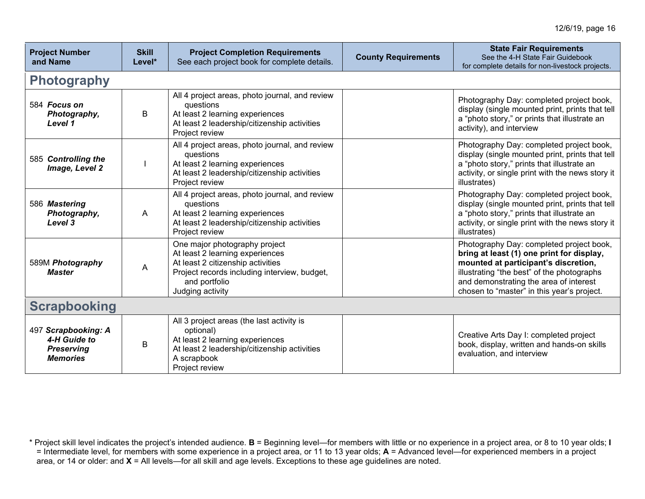| <b>Project Number</b><br>and Name                                           | <b>Skill</b><br>Level* | <b>Project Completion Requirements</b><br>See each project book for complete details.                                                                                                      | <b>County Requirements</b> | <b>State Fair Requirements</b><br>See the 4-H State Fair Guidebook<br>for complete details for non-livestock projects.                                                                                                                                              |  |
|-----------------------------------------------------------------------------|------------------------|--------------------------------------------------------------------------------------------------------------------------------------------------------------------------------------------|----------------------------|---------------------------------------------------------------------------------------------------------------------------------------------------------------------------------------------------------------------------------------------------------------------|--|
| <b>Photography</b>                                                          |                        |                                                                                                                                                                                            |                            |                                                                                                                                                                                                                                                                     |  |
| 584 Focus on<br>Photography,<br>Level 1                                     | B                      | All 4 project areas, photo journal, and review<br>questions<br>At least 2 learning experiences<br>At least 2 leadership/citizenship activities<br>Project review                           |                            | Photography Day: completed project book,<br>display (single mounted print, prints that tell<br>a "photo story," or prints that illustrate an<br>activity), and interview                                                                                            |  |
| 585 Controlling the<br>Image, Level 2                                       |                        | All 4 project areas, photo journal, and review<br>questions<br>At least 2 learning experiences<br>At least 2 leadership/citizenship activities<br>Project review                           |                            | Photography Day: completed project book,<br>display (single mounted print, prints that tell<br>a "photo story," prints that illustrate an<br>activity, or single print with the news story it<br>illustrates)                                                       |  |
| 586 Mastering<br>Photography,<br>Level 3                                    | A                      | All 4 project areas, photo journal, and review<br>questions<br>At least 2 learning experiences<br>At least 2 leadership/citizenship activities<br>Project review                           |                            | Photography Day: completed project book,<br>display (single mounted print, prints that tell<br>a "photo story," prints that illustrate an<br>activity, or single print with the news story it<br>illustrates)                                                       |  |
| 589M Photography<br><b>Master</b>                                           | Α                      | One major photography project<br>At least 2 learning experiences<br>At least 2 citizenship activities<br>Project records including interview, budget,<br>and portfolio<br>Judging activity |                            | Photography Day: completed project book,<br>bring at least (1) one print for display,<br>mounted at participant's discretion,<br>illustrating "the best" of the photographs<br>and demonstrating the area of interest<br>chosen to "master" in this year's project. |  |
| <b>Scrapbooking</b>                                                         |                        |                                                                                                                                                                                            |                            |                                                                                                                                                                                                                                                                     |  |
| 497 Scrapbooking: A<br>4-H Guide to<br><b>Preserving</b><br><b>Memories</b> | В                      | All 3 project areas (the last activity is<br>optional)<br>At least 2 learning experiences<br>At least 2 leadership/citizenship activities<br>A scrapbook<br>Project review                 |                            | Creative Arts Day I: completed project<br>book, display, written and hands-on skills<br>evaluation, and interview                                                                                                                                                   |  |

<sup>\*</sup> Project skill level indicates the project's intended audience. **B** = Beginning level—for members with little or no experience in a project area, or 8 to 10 year olds; **I** = Intermediate level, for members with some experience in a project area, or 11 to 13 year olds; **A** = Advanced level—for experienced members in a project area, or 14 or older: and **X** = All levels—for all skill and age levels. Exceptions to these age guidelines are noted.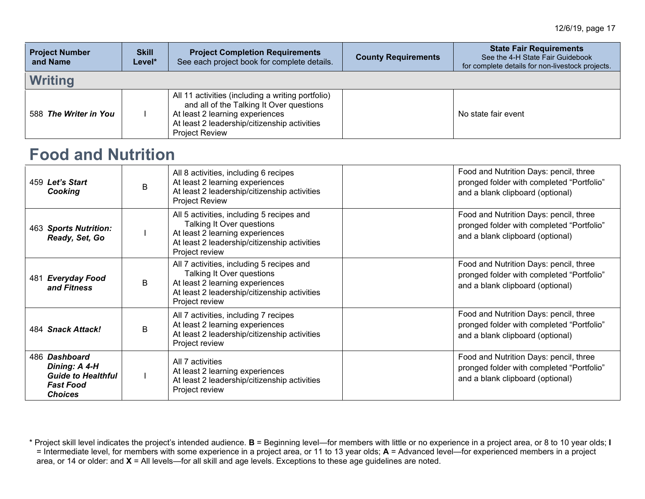| <b>Project Number</b><br>and Name | <b>Skill</b><br>Level* | <b>Project Completion Requirements</b><br>See each project book for complete details.                                                                                                                     | <b>County Requirements</b> | <b>State Fair Requirements</b><br>See the 4-H State Fair Guidebook<br>for complete details for non-livestock projects. |
|-----------------------------------|------------------------|-----------------------------------------------------------------------------------------------------------------------------------------------------------------------------------------------------------|----------------------------|------------------------------------------------------------------------------------------------------------------------|
| <b>Writing</b>                    |                        |                                                                                                                                                                                                           |                            |                                                                                                                        |
| 588 The Writer in You             |                        | All 11 activities (including a writing portfolio)<br>and all of the Talking It Over questions<br>At least 2 learning experiences<br>At least 2 leadership/citizenship activities<br><b>Project Review</b> |                            | No state fair event                                                                                                    |

#### **Food and Nutrition**

| 459 Let's Start<br>Cooking                                                                        | <sub>R</sub> | All 8 activities, including 6 recipes<br>At least 2 learning experiences<br>At least 2 leadership/citizenship activities<br><b>Project Review</b>                           | Food and Nutrition Days: pencil, three<br>pronged folder with completed "Portfolio"<br>and a blank clipboard (optional) |
|---------------------------------------------------------------------------------------------------|--------------|-----------------------------------------------------------------------------------------------------------------------------------------------------------------------------|-------------------------------------------------------------------------------------------------------------------------|
| 463 Sports Nutrition:<br>Ready, Set, Go                                                           |              | All 5 activities, including 5 recipes and<br>Talking It Over questions<br>At least 2 learning experiences<br>At least 2 leadership/citizenship activities<br>Project review | Food and Nutrition Days: pencil, three<br>pronged folder with completed "Portfolio"<br>and a blank clipboard (optional) |
| <b>Everyday Food</b><br>481<br>and Fitness                                                        | B            | All 7 activities, including 5 recipes and<br>Talking It Over questions<br>At least 2 learning experiences<br>At least 2 leadership/citizenship activities<br>Project review | Food and Nutrition Days: pencil, three<br>pronged folder with completed "Portfolio"<br>and a blank clipboard (optional) |
| 484 Snack Attack!                                                                                 | B            | All 7 activities, including 7 recipes<br>At least 2 learning experiences<br>At least 2 leadership/citizenship activities<br>Project review                                  | Food and Nutrition Days: pencil, three<br>pronged folder with completed "Portfolio"<br>and a blank clipboard (optional) |
| 486 Dashboard<br>Dining: A 4-H<br><b>Guide to Healthful</b><br><b>Fast Food</b><br><b>Choices</b> |              | All 7 activities<br>At least 2 learning experiences<br>At least 2 leadership/citizenship activities<br>Project review                                                       | Food and Nutrition Days: pencil, three<br>pronged folder with completed "Portfolio"<br>and a blank clipboard (optional) |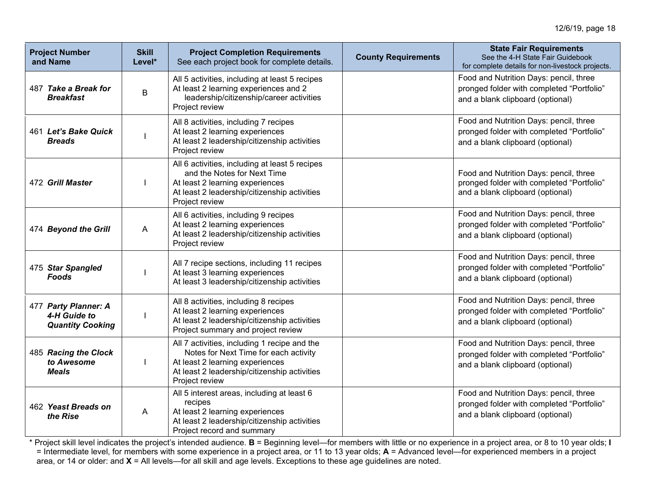| <b>Project Number</b><br>and Name                               | <b>Skill</b><br>Level* | <b>Project Completion Requirements</b><br>See each project book for complete details.                                                                                                      | <b>County Requirements</b> | <b>State Fair Requirements</b><br>See the 4-H State Fair Guidebook<br>for complete details for non-livestock projects.  |
|-----------------------------------------------------------------|------------------------|--------------------------------------------------------------------------------------------------------------------------------------------------------------------------------------------|----------------------------|-------------------------------------------------------------------------------------------------------------------------|
| 487 Take a Break for<br><b>Breakfast</b>                        | B                      | All 5 activities, including at least 5 recipes<br>At least 2 learning experiences and 2<br>leadership/citizenship/career activities<br>Project review                                      |                            | Food and Nutrition Days: pencil, three<br>pronged folder with completed "Portfolio"<br>and a blank clipboard (optional) |
| 461 Let's Bake Quick<br><b>Breads</b>                           |                        | All 8 activities, including 7 recipes<br>At least 2 learning experiences<br>At least 2 leadership/citizenship activities<br>Project review                                                 |                            | Food and Nutrition Days: pencil, three<br>pronged folder with completed "Portfolio"<br>and a blank clipboard (optional) |
| 472 Grill Master                                                |                        | All 6 activities, including at least 5 recipes<br>and the Notes for Next Time<br>At least 2 learning experiences<br>At least 2 leadership/citizenship activities<br>Project review         |                            | Food and Nutrition Days: pencil, three<br>pronged folder with completed "Portfolio"<br>and a blank clipboard (optional) |
| 474 Beyond the Grill                                            | A                      | All 6 activities, including 9 recipes<br>At least 2 learning experiences<br>At least 2 leadership/citizenship activities<br>Project review                                                 |                            | Food and Nutrition Days: pencil, three<br>pronged folder with completed "Portfolio"<br>and a blank clipboard (optional) |
| 475 Star Spangled<br><b>Foods</b>                               |                        | All 7 recipe sections, including 11 recipes<br>At least 3 learning experiences<br>At least 3 leadership/citizenship activities                                                             |                            | Food and Nutrition Days: pencil, three<br>pronged folder with completed "Portfolio"<br>and a blank clipboard (optional) |
| 477 Party Planner: A<br>4-H Guide to<br><b>Quantity Cooking</b> |                        | All 8 activities, including 8 recipes<br>At least 2 learning experiences<br>At least 2 leadership/citizenship activities<br>Project summary and project review                             |                            | Food and Nutrition Days: pencil, three<br>pronged folder with completed "Portfolio"<br>and a blank clipboard (optional) |
| 485 Racing the Clock<br>to Awesome<br><b>Meals</b>              |                        | All 7 activities, including 1 recipe and the<br>Notes for Next Time for each activity<br>At least 2 learning experiences<br>At least 2 leadership/citizenship activities<br>Project review |                            | Food and Nutrition Days: pencil, three<br>pronged folder with completed "Portfolio"<br>and a blank clipboard (optional) |
| 462 Yeast Breads on<br>the Rise                                 | A                      | All 5 interest areas, including at least 6<br>recipes<br>At least 2 learning experiences<br>At least 2 leadership/citizenship activities<br>Project record and summary                     |                            | Food and Nutrition Days: pencil, three<br>pronged folder with completed "Portfolio"<br>and a blank clipboard (optional) |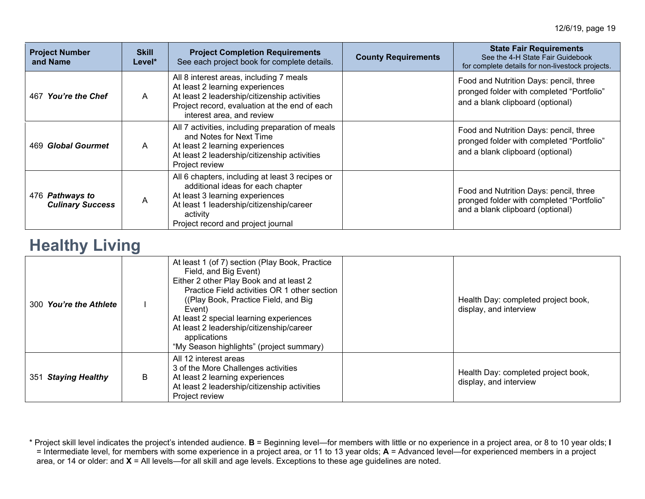| <b>Project Number</b><br>and Name          | <b>Skill</b><br>Level* | <b>Project Completion Requirements</b><br>See each project book for complete details.                                                                                                                                 | <b>County Requirements</b> | <b>State Fair Requirements</b><br>See the 4-H State Fair Guidebook<br>for complete details for non-livestock projects.  |
|--------------------------------------------|------------------------|-----------------------------------------------------------------------------------------------------------------------------------------------------------------------------------------------------------------------|----------------------------|-------------------------------------------------------------------------------------------------------------------------|
| 467 You're the Chef                        | A                      | All 8 interest areas, including 7 meals<br>At least 2 learning experiences<br>At least 2 leadership/citizenship activities<br>Project record, evaluation at the end of each<br>interest area, and review              |                            | Food and Nutrition Days: pencil, three<br>pronged folder with completed "Portfolio"<br>and a blank clipboard (optional) |
| 469 Global Gourmet                         | A                      | All 7 activities, including preparation of meals<br>and Notes for Next Time<br>At least 2 learning experiences<br>At least 2 leadership/citizenship activities<br>Project review                                      |                            | Food and Nutrition Days: pencil, three<br>pronged folder with completed "Portfolio"<br>and a blank clipboard (optional) |
| 476 Pathways to<br><b>Culinary Success</b> | A                      | All 6 chapters, including at least 3 recipes or<br>additional ideas for each chapter<br>At least 3 learning experiences<br>At least 1 leadership/citizenship/career<br>activity<br>Project record and project journal |                            | Food and Nutrition Days: pencil, three<br>pronged folder with completed "Portfolio"<br>and a blank clipboard (optional) |

#### **Healthy Living**

| 300 You're the Athlete |   | At least 1 (of 7) section (Play Book, Practice<br>Field, and Big Event)<br>Either 2 other Play Book and at least 2<br>Practice Field activities OR 1 other section<br>((Play Book, Practice Field, and Big)<br>Event)<br>At least 2 special learning experiences<br>At least 2 leadership/citizenship/career<br>applications<br>"My Season highlights" (project summary) | Health Day: completed project book,<br>display, and interview |
|------------------------|---|--------------------------------------------------------------------------------------------------------------------------------------------------------------------------------------------------------------------------------------------------------------------------------------------------------------------------------------------------------------------------|---------------------------------------------------------------|
| 351 Staying Healthy    | B | All 12 interest areas<br>3 of the More Challenges activities<br>At least 2 learning experiences<br>At least 2 leadership/citizenship activities<br>Project review                                                                                                                                                                                                        | Health Day: completed project book,<br>display, and interview |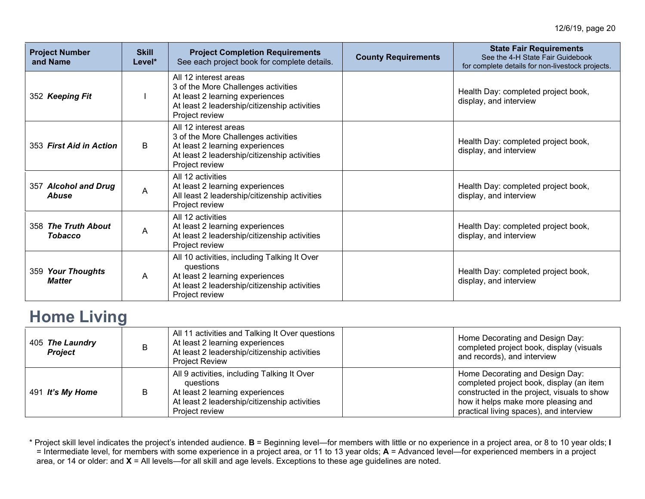| <b>Project Number</b><br>and Name     | <b>Skill</b><br>Level* | <b>Project Completion Requirements</b><br>See each project book for complete details.                                                                             | <b>County Requirements</b> | <b>State Fair Requirements</b><br>See the 4-H State Fair Guidebook<br>for complete details for non-livestock projects. |
|---------------------------------------|------------------------|-------------------------------------------------------------------------------------------------------------------------------------------------------------------|----------------------------|------------------------------------------------------------------------------------------------------------------------|
| 352 Keeping Fit                       |                        | All 12 interest areas<br>3 of the More Challenges activities<br>At least 2 learning experiences<br>At least 2 leadership/citizenship activities<br>Project review |                            | Health Day: completed project book,<br>display, and interview                                                          |
| 353 First Aid in Action               | B                      | All 12 interest areas<br>3 of the More Challenges activities<br>At least 2 learning experiences<br>At least 2 leadership/citizenship activities<br>Project review |                            | Health Day: completed project book,<br>display, and interview                                                          |
| 357 Alcohol and Drug<br>Abuse         | A                      | All 12 activities<br>At least 2 learning experiences<br>All least 2 leadership/citizenship activities<br>Project review                                           |                            | Health Day: completed project book,<br>display, and interview                                                          |
| 358 The Truth About<br><b>Tobacco</b> | A                      | All 12 activities<br>At least 2 learning experiences<br>At least 2 leadership/citizenship activities<br>Project review                                            |                            | Health Day: completed project book,<br>display, and interview                                                          |
| 359 Your Thoughts<br><b>Matter</b>    | A                      | All 10 activities, including Talking It Over<br>questions<br>At least 2 learning experiences<br>At least 2 leadership/citizenship activities<br>Project review    |                            | Health Day: completed project book,<br>display, and interview                                                          |

#### **Home Living**

| 405 The Laundry<br><b>Project</b> |   | All 11 activities and Talking It Over questions<br>At least 2 learning experiences<br>At least 2 leadership/citizenship activities<br><b>Project Review</b>   | Home Decorating and Design Day:<br>completed project book, display (visuals<br>and records), and interview                                                                                                   |
|-----------------------------------|---|---------------------------------------------------------------------------------------------------------------------------------------------------------------|--------------------------------------------------------------------------------------------------------------------------------------------------------------------------------------------------------------|
| 491 It's My Home                  | В | All 9 activities, including Talking It Over<br>questions<br>At least 2 learning experiences<br>At least 2 leadership/citizenship activities<br>Project review | Home Decorating and Design Day:<br>completed project book, display (an item<br>constructed in the project, visuals to show<br>how it helps make more pleasing and<br>practical living spaces), and interview |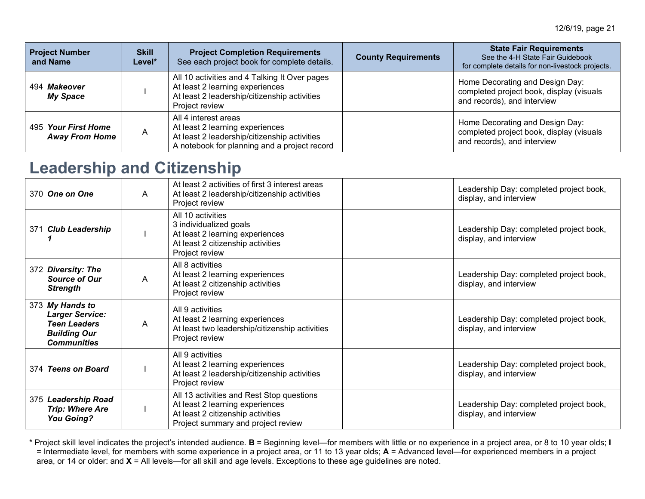| <b>Project Number</b><br>and Name            | <b>Skill</b><br>Level* | <b>Project Completion Requirements</b><br>See each project book for complete details.                                                                   | <b>County Requirements</b> | <b>State Fair Requirements</b><br>See the 4-H State Fair Guidebook<br>for complete details for non-livestock projects. |
|----------------------------------------------|------------------------|---------------------------------------------------------------------------------------------------------------------------------------------------------|----------------------------|------------------------------------------------------------------------------------------------------------------------|
| 494 Makeover<br><b>My Space</b>              |                        | All 10 activities and 4 Talking It Over pages<br>At least 2 learning experiences<br>At least 2 leadership/citizenship activities<br>Project review      |                            | Home Decorating and Design Day:<br>completed project book, display (visuals<br>and records), and interview             |
| 495 Your First Home<br><b>Away From Home</b> | Α                      | All 4 interest areas<br>At least 2 learning experiences<br>At least 2 leadership/citizenship activities<br>A notebook for planning and a project record |                            | Home Decorating and Design Day:<br>completed project book, display (visuals<br>and records), and interview             |

# **Leadership and Citizenship**

| 370 One on One                                                                                                | A | At least 2 activities of first 3 interest areas<br>At least 2 leadership/citizenship activities<br>Project review                                       | Leadership Day: completed project book,<br>display, and interview |
|---------------------------------------------------------------------------------------------------------------|---|---------------------------------------------------------------------------------------------------------------------------------------------------------|-------------------------------------------------------------------|
| 371 Club Leadership                                                                                           |   | All 10 activities<br>3 individualized goals<br>At least 2 learning experiences<br>At least 2 citizenship activities<br>Project review                   | Leadership Day: completed project book,<br>display, and interview |
| 372 Diversity: The<br><b>Source of Our</b><br><b>Strength</b>                                                 | A | All 8 activities<br>At least 2 learning experiences<br>At least 2 citizenship activities<br>Project review                                              | Leadership Day: completed project book,<br>display, and interview |
| 373 My Hands to<br><b>Larger Service:</b><br><b>Teen Leaders</b><br><b>Building Our</b><br><b>Communities</b> | A | All 9 activities<br>At least 2 learning experiences<br>At least two leadership/citizenship activities<br>Project review                                 | Leadership Day: completed project book,<br>display, and interview |
| 374 Teens on Board                                                                                            |   | All 9 activities<br>At least 2 learning experiences<br>At least 2 leadership/citizenship activities<br>Project review                                   | Leadership Day: completed project book,<br>display, and interview |
| 375 Leadership Road<br><b>Trip: Where Are</b><br><b>You Going?</b>                                            |   | All 13 activities and Rest Stop questions<br>At least 2 learning experiences<br>At least 2 citizenship activities<br>Project summary and project review | Leadership Day: completed project book,<br>display, and interview |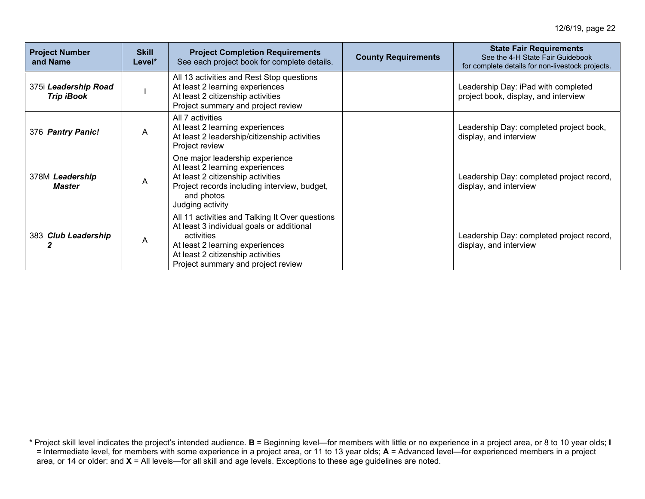| <b>Project Number</b><br>and Name         | <b>Skill</b><br>Level* | <b>Project Completion Requirements</b><br>See each project book for complete details.                                                                                                                                    | <b>County Requirements</b> | <b>State Fair Requirements</b><br>See the 4-H State Fair Guidebook<br>for complete details for non-livestock projects. |
|-------------------------------------------|------------------------|--------------------------------------------------------------------------------------------------------------------------------------------------------------------------------------------------------------------------|----------------------------|------------------------------------------------------------------------------------------------------------------------|
| 375i Leadership Road<br><b>Trip iBook</b> |                        | All 13 activities and Rest Stop questions<br>At least 2 learning experiences<br>At least 2 citizenship activities<br>Project summary and project review                                                                  |                            | Leadership Day: iPad with completed<br>project book, display, and interview                                            |
| 376 Pantry Panic!                         | A                      | All 7 activities<br>At least 2 learning experiences<br>At least 2 leadership/citizenship activities<br>Project review                                                                                                    |                            | Leadership Day: completed project book,<br>display, and interview                                                      |
| 378M Leadership<br>Master                 | Α                      | One major leadership experience<br>At least 2 learning experiences<br>At least 2 citizenship activities<br>Project records including interview, budget,<br>and photos<br>Judging activity                                |                            | Leadership Day: completed project record,<br>display, and interview                                                    |
| 383 Club Leadership                       | Α                      | All 11 activities and Talking It Over questions<br>At least 3 individual goals or additional<br>activities<br>At least 2 learning experiences<br>At least 2 citizenship activities<br>Project summary and project review |                            | Leadership Day: completed project record,<br>display, and interview                                                    |

<sup>\*</sup> Project skill level indicates the project's intended audience. **B** = Beginning level—for members with little or no experience in a project area, or 8 to 10 year olds; **I** = Intermediate level, for members with some experience in a project area, or 11 to 13 year olds; **A** = Advanced level—for experienced members in a project area, or 14 or older: and **X** = All levels—for all skill and age levels. Exceptions to these age guidelines are noted.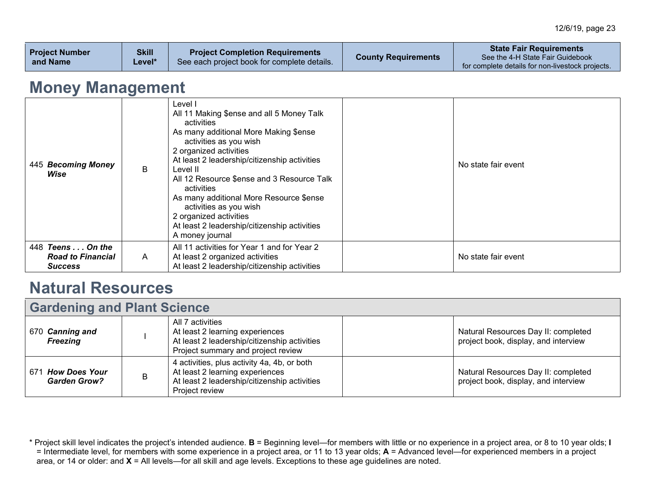| <b>Project Number</b><br>and Name | <b>Skill</b><br>Level* | <b>Project Completion Requirements</b><br>See each project book for complete details. | <b>County Requirements</b> | <b>State Fair Requirements</b><br>See the 4-H State Fair Guidebook<br>for complete details for non-livestock projects. |
|-----------------------------------|------------------------|---------------------------------------------------------------------------------------|----------------------------|------------------------------------------------------------------------------------------------------------------------|
|-----------------------------------|------------------------|---------------------------------------------------------------------------------------|----------------------------|------------------------------------------------------------------------------------------------------------------------|

### **Money Management**

| 445 Becoming Money<br>Wise                              | B | Level I<br>All 11 Making \$ense and all 5 Money Talk<br>activities<br>As many additional More Making \$ense<br>activities as you wish<br>2 organized activities<br>At least 2 leadership/citizenship activities<br>Level II<br>All 12 Resource \$ense and 3 Resource Talk<br>activities<br>As many additional More Resource \$ense<br>activities as you wish<br>2 organized activities<br>At least 2 leadership/citizenship activities<br>A money journal | No state fair event |
|---------------------------------------------------------|---|-----------------------------------------------------------------------------------------------------------------------------------------------------------------------------------------------------------------------------------------------------------------------------------------------------------------------------------------------------------------------------------------------------------------------------------------------------------|---------------------|
| 448 Teens On the<br><b>Road to Financial</b><br>Success | A | All 11 activities for Year 1 and for Year 2<br>At least 2 organized activities<br>At least 2 leadership/citizenship activities                                                                                                                                                                                                                                                                                                                            | No state fair event |

### **Natural Resources**

| <b>Gardening and Plant Science</b>                 |   |                                                                                                                                                  |  |                                                                             |
|----------------------------------------------------|---|--------------------------------------------------------------------------------------------------------------------------------------------------|--|-----------------------------------------------------------------------------|
| 670 Canning and<br><b>Freezing</b>                 |   | All 7 activities<br>At least 2 learning experiences<br>At least 2 leadership/citizenship activities<br>Project summary and project review        |  | Natural Resources Day II: completed<br>project book, display, and interview |
| <b>How Does Your</b><br>671<br><b>Garden Grow?</b> | B | 4 activities, plus activity 4a, 4b, or both<br>At least 2 learning experiences<br>At least 2 leadership/citizenship activities<br>Project review |  | Natural Resources Day II: completed<br>project book, display, and interview |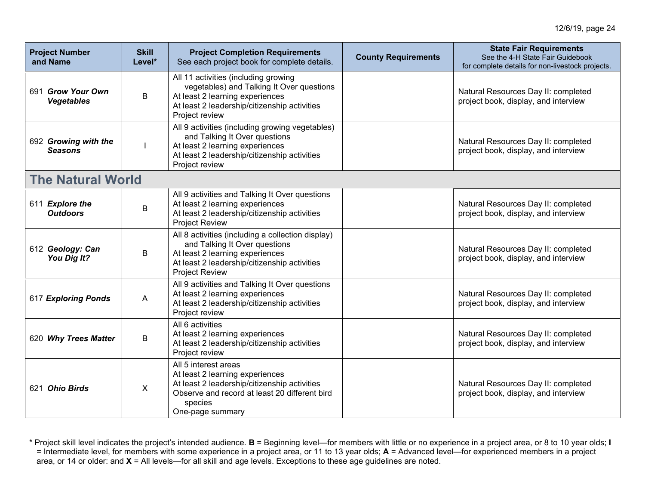| <b>Project Number</b><br>and Name      | <b>Skill</b><br>Level* | <b>Project Completion Requirements</b><br>See each project book for complete details.                                                                                                          | <b>County Requirements</b> | <b>State Fair Requirements</b><br>See the 4-H State Fair Guidebook<br>for complete details for non-livestock projects. |
|----------------------------------------|------------------------|------------------------------------------------------------------------------------------------------------------------------------------------------------------------------------------------|----------------------------|------------------------------------------------------------------------------------------------------------------------|
| 691 Grow Your Own<br><b>Vegetables</b> | B                      | All 11 activities (including growing<br>vegetables) and Talking It Over questions<br>At least 2 learning experiences<br>At least 2 leadership/citizenship activities<br>Project review         |                            | Natural Resources Day II: completed<br>project book, display, and interview                                            |
| 692 Growing with the<br><b>Seasons</b> |                        | All 9 activities (including growing vegetables)<br>and Talking It Over questions<br>At least 2 learning experiences<br>At least 2 leadership/citizenship activities<br>Project review          |                            | Natural Resources Day II: completed<br>project book, display, and interview                                            |
| <b>The Natural World</b>               |                        |                                                                                                                                                                                                |                            |                                                                                                                        |
| 611 Explore the<br><b>Outdoors</b>     | B                      | All 9 activities and Talking It Over questions<br>At least 2 learning experiences<br>At least 2 leadership/citizenship activities<br><b>Project Review</b>                                     |                            | Natural Resources Day II: completed<br>project book, display, and interview                                            |
| 612 Geology: Can<br>You Dig It?        | B                      | All 8 activities (including a collection display)<br>and Talking It Over questions<br>At least 2 learning experiences<br>At least 2 leadership/citizenship activities<br><b>Project Review</b> |                            | Natural Resources Day II: completed<br>project book, display, and interview                                            |
| 617 Exploring Ponds                    | A                      | All 9 activities and Talking It Over questions<br>At least 2 learning experiences<br>At least 2 leadership/citizenship activities<br>Project review                                            |                            | Natural Resources Day II: completed<br>project book, display, and interview                                            |
| 620 Why Trees Matter                   | B                      | All 6 activities<br>At least 2 learning experiences<br>At least 2 leadership/citizenship activities<br>Project review                                                                          |                            | Natural Resources Day II: completed<br>project book, display, and interview                                            |
| 621 Ohio Birds                         | X                      | All 5 interest areas<br>At least 2 learning experiences<br>At least 2 leadership/citizenship activities<br>Observe and record at least 20 different bird<br>species<br>One-page summary        |                            | Natural Resources Day II: completed<br>project book, display, and interview                                            |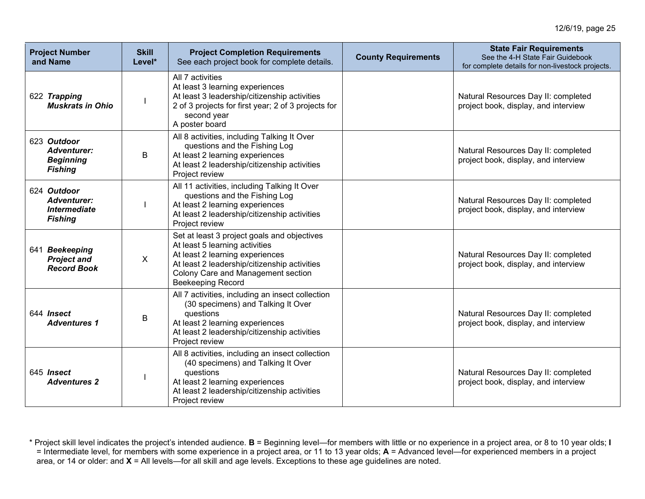| <b>Project Number</b><br>and Name                                          | <b>Skill</b><br>Level* | <b>Project Completion Requirements</b><br>See each project book for complete details.                                                                                                                                              | <b>County Requirements</b> | <b>State Fair Requirements</b><br>See the 4-H State Fair Guidebook<br>for complete details for non-livestock projects. |
|----------------------------------------------------------------------------|------------------------|------------------------------------------------------------------------------------------------------------------------------------------------------------------------------------------------------------------------------------|----------------------------|------------------------------------------------------------------------------------------------------------------------|
| 622 Trapping<br><b>Muskrats in Ohio</b>                                    |                        | All 7 activities<br>At least 3 learning experiences<br>At least 3 leadership/citizenship activities<br>2 of 3 projects for first year; 2 of 3 projects for<br>second year<br>A poster board                                        |                            | Natural Resources Day II: completed<br>project book, display, and interview                                            |
| 623 Outdoor<br><b>Adventurer:</b><br><b>Beginning</b><br><b>Fishing</b>    | B                      | All 8 activities, including Talking It Over<br>questions and the Fishing Log<br>At least 2 learning experiences<br>At least 2 leadership/citizenship activities<br>Project review                                                  |                            | Natural Resources Day II: completed<br>project book, display, and interview                                            |
| 624 Outdoor<br><b>Adventurer:</b><br><b>Intermediate</b><br><b>Fishing</b> |                        | All 11 activities, including Talking It Over<br>questions and the Fishing Log<br>At least 2 learning experiences<br>At least 2 leadership/citizenship activities<br>Project review                                                 |                            | Natural Resources Day II: completed<br>project book, display, and interview                                            |
| 641 Beekeeping<br><b>Project and</b><br><b>Record Book</b>                 | $\sf X$                | Set at least 3 project goals and objectives<br>At least 5 learning activities<br>At least 2 learning experiences<br>At least 2 leadership/citizenship activities<br>Colony Care and Management section<br><b>Beekeeping Record</b> |                            | Natural Resources Day II: completed<br>project book, display, and interview                                            |
| 644 Insect<br><b>Adventures 1</b>                                          | B                      | All 7 activities, including an insect collection<br>(30 specimens) and Talking It Over<br>questions<br>At least 2 learning experiences<br>At least 2 leadership/citizenship activities<br>Project review                           |                            | Natural Resources Day II: completed<br>project book, display, and interview                                            |
| 645 Insect<br><b>Adventures 2</b>                                          |                        | All 8 activities, including an insect collection<br>(40 specimens) and Talking It Over<br>questions<br>At least 2 learning experiences<br>At least 2 leadership/citizenship activities<br>Project review                           |                            | Natural Resources Day II: completed<br>project book, display, and interview                                            |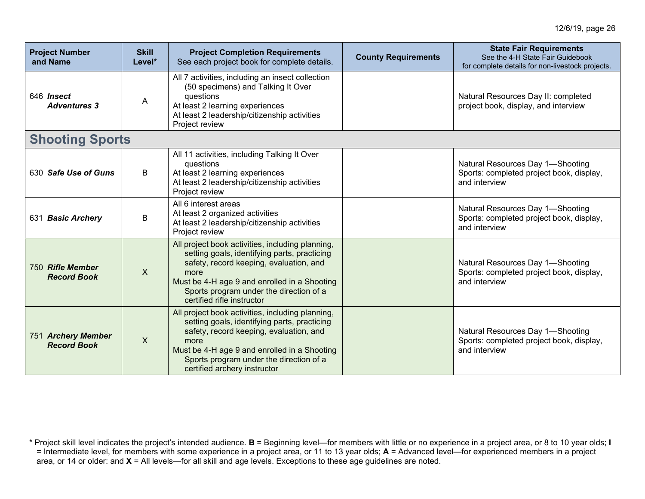| <b>Project Number</b><br>and Name        | <b>Skill</b><br>Level* | <b>Project Completion Requirements</b><br>See each project book for complete details.                                                                                                                                                                                          | <b>County Requirements</b> | <b>State Fair Requirements</b><br>See the 4-H State Fair Guidebook<br>for complete details for non-livestock projects. |
|------------------------------------------|------------------------|--------------------------------------------------------------------------------------------------------------------------------------------------------------------------------------------------------------------------------------------------------------------------------|----------------------------|------------------------------------------------------------------------------------------------------------------------|
| 646 Insect<br><b>Adventures 3</b>        | A                      | All 7 activities, including an insect collection<br>(50 specimens) and Talking It Over<br>questions<br>At least 2 learning experiences<br>At least 2 leadership/citizenship activities<br>Project review                                                                       |                            | Natural Resources Day II: completed<br>project book, display, and interview                                            |
| <b>Shooting Sports</b>                   |                        |                                                                                                                                                                                                                                                                                |                            |                                                                                                                        |
| 630 Safe Use of Guns                     | B                      | All 11 activities, including Talking It Over<br>questions<br>At least 2 learning experiences<br>At least 2 leadership/citizenship activities<br>Project review                                                                                                                 |                            | Natural Resources Day 1-Shooting<br>Sports: completed project book, display,<br>and interview                          |
| 631 Basic Archery                        | B                      | All 6 interest areas<br>At least 2 organized activities<br>At least 2 leadership/citizenship activities<br>Project review                                                                                                                                                      |                            | Natural Resources Day 1-Shooting<br>Sports: completed project book, display,<br>and interview                          |
| 750 Rifle Member<br><b>Record Book</b>   | $\mathsf{X}$           | All project book activities, including planning,<br>setting goals, identifying parts, practicing<br>safety, record keeping, evaluation, and<br>more<br>Must be 4-H age 9 and enrolled in a Shooting<br>Sports program under the direction of a<br>certified rifle instructor   |                            | Natural Resources Day 1-Shooting<br>Sports: completed project book, display,<br>and interview                          |
| 751 Archery Member<br><b>Record Book</b> | X                      | All project book activities, including planning,<br>setting goals, identifying parts, practicing<br>safety, record keeping, evaluation, and<br>more<br>Must be 4-H age 9 and enrolled in a Shooting<br>Sports program under the direction of a<br>certified archery instructor |                            | Natural Resources Day 1-Shooting<br>Sports: completed project book, display,<br>and interview                          |

<sup>\*</sup> Project skill level indicates the project's intended audience. **B** = Beginning level—for members with little or no experience in a project area, or 8 to 10 year olds; **I** = Intermediate level, for members with some experience in a project area, or 11 to 13 year olds; **A** = Advanced level—for experienced members in a project area, or 14 or older: and **X** = All levels—for all skill and age levels. Exceptions to these age guidelines are noted.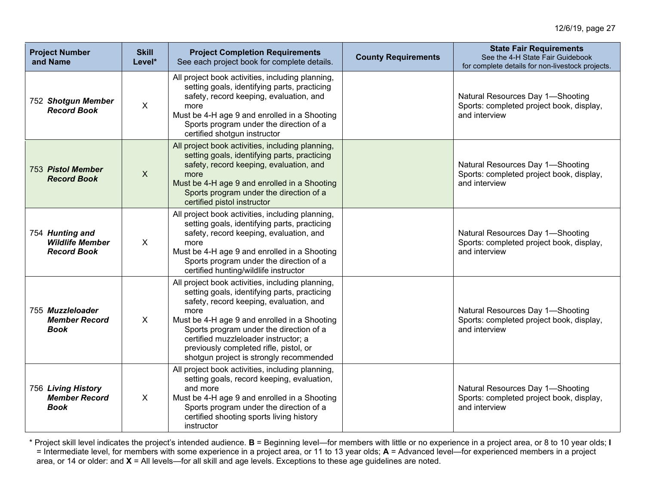| <b>Project Number</b><br>and Name                               | <b>Skill</b><br>Level* | <b>Project Completion Requirements</b><br>See each project book for complete details.                                                                                                                                                                                                                                                                                       | <b>County Requirements</b> | <b>State Fair Requirements</b><br>See the 4-H State Fair Guidebook<br>for complete details for non-livestock projects. |
|-----------------------------------------------------------------|------------------------|-----------------------------------------------------------------------------------------------------------------------------------------------------------------------------------------------------------------------------------------------------------------------------------------------------------------------------------------------------------------------------|----------------------------|------------------------------------------------------------------------------------------------------------------------|
| 752 Shotgun Member<br><b>Record Book</b>                        | $\mathsf{X}$           | All project book activities, including planning,<br>setting goals, identifying parts, practicing<br>safety, record keeping, evaluation, and<br>more<br>Must be 4-H age 9 and enrolled in a Shooting<br>Sports program under the direction of a<br>certified shotgun instructor                                                                                              |                            | Natural Resources Day 1-Shooting<br>Sports: completed project book, display,<br>and interview                          |
| 753 Pistol Member<br><b>Record Book</b>                         | $\mathsf{X}$           | All project book activities, including planning,<br>setting goals, identifying parts, practicing<br>safety, record keeping, evaluation, and<br>more<br>Must be 4-H age 9 and enrolled in a Shooting<br>Sports program under the direction of a<br>certified pistol instructor                                                                                               |                            | Natural Resources Day 1-Shooting<br>Sports: completed project book, display,<br>and interview                          |
| 754 Hunting and<br><b>Wildlife Member</b><br><b>Record Book</b> | X                      | All project book activities, including planning,<br>setting goals, identifying parts, practicing<br>safety, record keeping, evaluation, and<br>more<br>Must be 4-H age 9 and enrolled in a Shooting<br>Sports program under the direction of a<br>certified hunting/wildlife instructor                                                                                     |                            | Natural Resources Day 1-Shooting<br>Sports: completed project book, display,<br>and interview                          |
| 755 Muzzleloader<br><b>Member Record</b><br><b>Book</b>         | $\sf X$                | All project book activities, including planning,<br>setting goals, identifying parts, practicing<br>safety, record keeping, evaluation, and<br>more<br>Must be 4-H age 9 and enrolled in a Shooting<br>Sports program under the direction of a<br>certified muzzleloader instructor; a<br>previously completed rifle, pistol, or<br>shotgun project is strongly recommended |                            | Natural Resources Day 1-Shooting<br>Sports: completed project book, display,<br>and interview                          |
| 756 Living History<br><b>Member Record</b><br>Book              | X                      | All project book activities, including planning,<br>setting goals, record keeping, evaluation,<br>and more<br>Must be 4-H age 9 and enrolled in a Shooting<br>Sports program under the direction of a<br>certified shooting sports living history<br>instructor                                                                                                             |                            | Natural Resources Day 1-Shooting<br>Sports: completed project book, display,<br>and interview                          |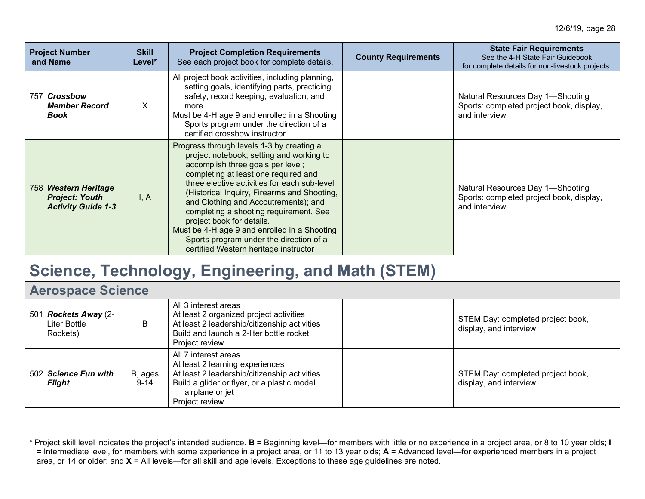| <b>Project Number</b><br>and Name                                          | <b>Skill</b><br>Level* | <b>Project Completion Requirements</b><br>See each project book for complete details.                                                                                                                                                                                                                                                                                                                                                                                                                                | <b>County Requirements</b> | <b>State Fair Requirements</b><br>See the 4-H State Fair Guidebook<br>for complete details for non-livestock projects. |
|----------------------------------------------------------------------------|------------------------|----------------------------------------------------------------------------------------------------------------------------------------------------------------------------------------------------------------------------------------------------------------------------------------------------------------------------------------------------------------------------------------------------------------------------------------------------------------------------------------------------------------------|----------------------------|------------------------------------------------------------------------------------------------------------------------|
| 757 Crossbow<br><b>Member Record</b><br><b>Book</b>                        | X.                     | All project book activities, including planning,<br>setting goals, identifying parts, practicing<br>safety, record keeping, evaluation, and<br>more<br>Must be 4-H age 9 and enrolled in a Shooting<br>Sports program under the direction of a<br>certified crossbow instructor                                                                                                                                                                                                                                      |                            | Natural Resources Day 1-Shooting<br>Sports: completed project book, display,<br>and interview                          |
| 758 Western Heritage<br><b>Project: Youth</b><br><b>Activity Guide 1-3</b> | I, A                   | Progress through levels 1-3 by creating a<br>project notebook; setting and working to<br>accomplish three goals per level;<br>completing at least one required and<br>three elective activities for each sub-level<br>(Historical Inquiry, Firearms and Shooting,<br>and Clothing and Accoutrements); and<br>completing a shooting requirement. See<br>project book for details.<br>Must be 4-H age 9 and enrolled in a Shooting<br>Sports program under the direction of a<br>certified Western heritage instructor |                            | Natural Resources Day 1-Shooting<br>Sports: completed project book, display,<br>and interview                          |

# **Science, Technology, Engineering, and Math (STEM)**

| <b>Aerospace Science</b>                         |                     |                                                                                                                                                                                             |  |                                                             |
|--------------------------------------------------|---------------------|---------------------------------------------------------------------------------------------------------------------------------------------------------------------------------------------|--|-------------------------------------------------------------|
| 501 Rockets Away (2-<br>Liter Bottle<br>Rockets) | В                   | All 3 interest areas<br>At least 2 organized project activities<br>At least 2 leadership/citizenship activities<br>Build and launch a 2-liter bottle rocket<br>Project review               |  | STEM Day: completed project book,<br>display, and interview |
| 502 Science Fun with<br><b>Flight</b>            | B, ages<br>$9 - 14$ | All 7 interest areas<br>At least 2 learning experiences<br>At least 2 leadership/citizenship activities<br>Build a glider or flyer, or a plastic model<br>airplane or jet<br>Project review |  | STEM Day: completed project book,<br>display, and interview |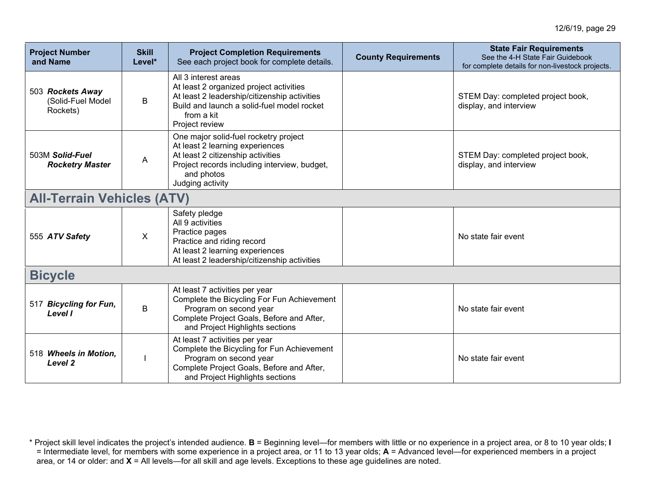| <b>Project Number</b><br>and Name                 | <b>Skill</b><br>Level* | <b>Project Completion Requirements</b><br>See each project book for complete details.                                                                                                           | <b>County Requirements</b> | <b>State Fair Requirements</b><br>See the 4-H State Fair Guidebook<br>for complete details for non-livestock projects. |
|---------------------------------------------------|------------------------|-------------------------------------------------------------------------------------------------------------------------------------------------------------------------------------------------|----------------------------|------------------------------------------------------------------------------------------------------------------------|
| 503 Rockets Away<br>(Solid-Fuel Model<br>Rockets) | B                      | All 3 interest areas<br>At least 2 organized project activities<br>At least 2 leadership/citizenship activities<br>Build and launch a solid-fuel model rocket<br>from a kit<br>Project review   |                            | STEM Day: completed project book,<br>display, and interview                                                            |
| 503M Solid-Fuel<br><b>Rocketry Master</b>         | A                      | One major solid-fuel rocketry project<br>At least 2 learning experiences<br>At least 2 citizenship activities<br>Project records including interview, budget,<br>and photos<br>Judging activity |                            | STEM Day: completed project book,<br>display, and interview                                                            |
| <b>All-Terrain Vehicles (ATV)</b>                 |                        |                                                                                                                                                                                                 |                            |                                                                                                                        |
| 555 ATV Safety                                    | $\sf X$                | Safety pledge<br>All 9 activities<br>Practice pages<br>Practice and riding record<br>At least 2 learning experiences<br>At least 2 leadership/citizenship activities                            |                            | No state fair event                                                                                                    |
| <b>Bicycle</b>                                    |                        |                                                                                                                                                                                                 |                            |                                                                                                                        |
| 517 Bicycling for Fun,<br>Level I                 | B                      | At least 7 activities per year<br>Complete the Bicycling For Fun Achievement<br>Program on second year<br>Complete Project Goals, Before and After,<br>and Project Highlights sections          |                            | No state fair event                                                                                                    |
| 518 Wheels in Motion,<br>Level <sub>2</sub>       |                        | At least 7 activities per year<br>Complete the Bicycling for Fun Achievement<br>Program on second year<br>Complete Project Goals, Before and After,<br>and Project Highlights sections          |                            | No state fair event                                                                                                    |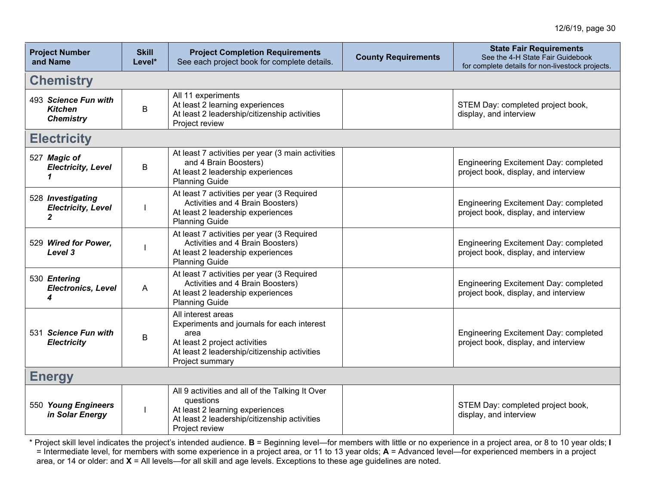| <b>Project Number</b><br>and Name                          | <b>Skill</b><br>Level* | <b>Project Completion Requirements</b><br>See each project book for complete details.                                                                                        | <b>County Requirements</b> | <b>State Fair Requirements</b><br>See the 4-H State Fair Guidebook<br>for complete details for non-livestock projects. |  |  |
|------------------------------------------------------------|------------------------|------------------------------------------------------------------------------------------------------------------------------------------------------------------------------|----------------------------|------------------------------------------------------------------------------------------------------------------------|--|--|
| <b>Chemistry</b>                                           |                        |                                                                                                                                                                              |                            |                                                                                                                        |  |  |
| 493 Science Fun with<br><b>Kitchen</b><br><b>Chemistry</b> | B                      | All 11 experiments<br>At least 2 learning experiences<br>At least 2 leadership/citizenship activities<br>Project review                                                      |                            | STEM Day: completed project book,<br>display, and interview                                                            |  |  |
| <b>Electricity</b>                                         |                        |                                                                                                                                                                              |                            |                                                                                                                        |  |  |
| 527 Magic of<br><b>Electricity, Level</b>                  | B                      | At least 7 activities per year (3 main activities<br>and 4 Brain Boosters)<br>At least 2 leadership experiences<br><b>Planning Guide</b>                                     |                            | Engineering Excitement Day: completed<br>project book, display, and interview                                          |  |  |
| 528 Investigating<br><b>Electricity, Level</b>             |                        | At least 7 activities per year (3 Required<br>Activities and 4 Brain Boosters)<br>At least 2 leadership experiences<br><b>Planning Guide</b>                                 |                            | Engineering Excitement Day: completed<br>project book, display, and interview                                          |  |  |
| 529 Wired for Power.<br>Level 3                            |                        | At least 7 activities per year (3 Required<br>Activities and 4 Brain Boosters)<br>At least 2 leadership experiences<br><b>Planning Guide</b>                                 |                            | Engineering Excitement Day: completed<br>project book, display, and interview                                          |  |  |
| 530 Entering<br><b>Electronics, Level</b><br>4             | A                      | At least 7 activities per year (3 Required<br>Activities and 4 Brain Boosters)<br>At least 2 leadership experiences<br><b>Planning Guide</b>                                 |                            | Engineering Excitement Day: completed<br>project book, display, and interview                                          |  |  |
| 531 Science Fun with<br><b>Electricity</b>                 | B                      | All interest areas<br>Experiments and journals for each interest<br>area<br>At least 2 project activities<br>At least 2 leadership/citizenship activities<br>Project summary |                            | Engineering Excitement Day: completed<br>project book, display, and interview                                          |  |  |
| <b>Energy</b>                                              |                        |                                                                                                                                                                              |                            |                                                                                                                        |  |  |
| 550 Young Engineers<br>in Solar Energy                     |                        | All 9 activities and all of the Talking It Over<br>questions<br>At least 2 learning experiences<br>At least 2 leadership/citizenship activities<br>Project review            |                            | STEM Day: completed project book,<br>display, and interview                                                            |  |  |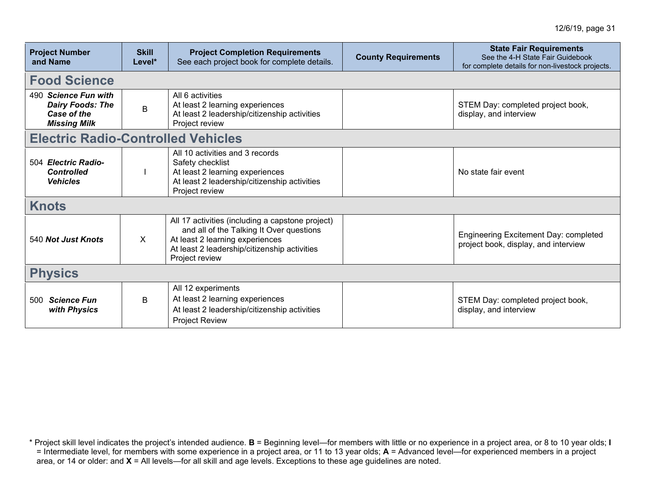| <b>Project Number</b><br>and Name                                                     | <b>Skill</b><br>Level*                    | <b>Project Completion Requirements</b><br>See each project book for complete details.                                                                                                             | <b>County Requirements</b> | <b>State Fair Requirements</b><br>See the 4-H State Fair Guidebook<br>for complete details for non-livestock projects. |  |  |
|---------------------------------------------------------------------------------------|-------------------------------------------|---------------------------------------------------------------------------------------------------------------------------------------------------------------------------------------------------|----------------------------|------------------------------------------------------------------------------------------------------------------------|--|--|
| <b>Food Science</b>                                                                   |                                           |                                                                                                                                                                                                   |                            |                                                                                                                        |  |  |
| 490 Science Fun with<br><b>Dairy Foods: The</b><br>Case of the<br><b>Missing Milk</b> | B                                         | All 6 activities<br>At least 2 learning experiences<br>At least 2 leadership/citizenship activities<br>Project review                                                                             |                            | STEM Day: completed project book,<br>display, and interview                                                            |  |  |
|                                                                                       | <b>Electric Radio-Controlled Vehicles</b> |                                                                                                                                                                                                   |                            |                                                                                                                        |  |  |
| 504 Electric Radio-<br><b>Controlled</b><br><b>Vehicles</b>                           |                                           | All 10 activities and 3 records<br>Safety checklist<br>At least 2 learning experiences<br>At least 2 leadership/citizenship activities<br>Project review                                          |                            | No state fair event                                                                                                    |  |  |
| <b>Knots</b>                                                                          |                                           |                                                                                                                                                                                                   |                            |                                                                                                                        |  |  |
| 540 Not Just Knots                                                                    | X                                         | All 17 activities (including a capstone project)<br>and all of the Talking It Over questions<br>At least 2 learning experiences<br>At least 2 leadership/citizenship activities<br>Project review |                            | Engineering Excitement Day: completed<br>project book, display, and interview                                          |  |  |
| <b>Physics</b>                                                                        |                                           |                                                                                                                                                                                                   |                            |                                                                                                                        |  |  |
| <b>Science Fun</b><br>500<br>with Physics                                             | B                                         | All 12 experiments<br>At least 2 learning experiences<br>At least 2 leadership/citizenship activities<br><b>Project Review</b>                                                                    |                            | STEM Day: completed project book,<br>display, and interview                                                            |  |  |

<sup>\*</sup> Project skill level indicates the project's intended audience. **B** = Beginning level—for members with little or no experience in a project area, or 8 to 10 year olds; **I** = Intermediate level, for members with some experience in a project area, or 11 to 13 year olds; **A** = Advanced level—for experienced members in a project area, or 14 or older: and **X** = All levels—for all skill and age levels. Exceptions to these age guidelines are noted.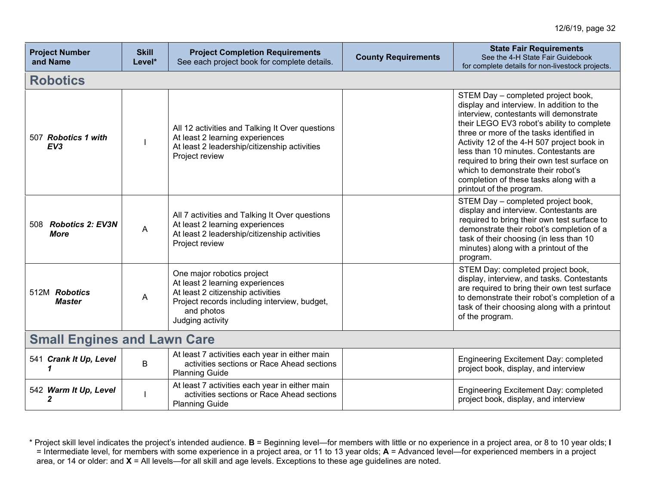| <b>Project Number</b><br>and Name      | <b>Skill</b><br>Level* | <b>Project Completion Requirements</b><br>See each project book for complete details.                                                                                                | <b>County Requirements</b> | <b>State Fair Requirements</b><br>See the 4-H State Fair Guidebook<br>for complete details for non-livestock projects.                                                                                                                                                                                                                                                                                                                                                 |
|----------------------------------------|------------------------|--------------------------------------------------------------------------------------------------------------------------------------------------------------------------------------|----------------------------|------------------------------------------------------------------------------------------------------------------------------------------------------------------------------------------------------------------------------------------------------------------------------------------------------------------------------------------------------------------------------------------------------------------------------------------------------------------------|
| <b>Robotics</b>                        |                        |                                                                                                                                                                                      |                            |                                                                                                                                                                                                                                                                                                                                                                                                                                                                        |
| 507 Robotics 1 with<br>EV <sub>3</sub> |                        | All 12 activities and Talking It Over questions<br>At least 2 learning experiences<br>At least 2 leadership/citizenship activities<br>Project review                                 |                            | STEM Day - completed project book,<br>display and interview. In addition to the<br>interview, contestants will demonstrate<br>their LEGO EV3 robot's ability to complete<br>three or more of the tasks identified in<br>Activity 12 of the 4-H 507 project book in<br>less than 10 minutes. Contestants are<br>required to bring their own test surface on<br>which to demonstrate their robot's<br>completion of these tasks along with a<br>printout of the program. |
| 508 Robotics 2: EV3N<br><b>More</b>    | A                      | All 7 activities and Talking It Over questions<br>At least 2 learning experiences<br>At least 2 leadership/citizenship activities<br>Project review                                  |                            | STEM Day - completed project book,<br>display and interview. Contestants are<br>required to bring their own test surface to<br>demonstrate their robot's completion of a<br>task of their choosing (in less than 10<br>minutes) along with a printout of the<br>program.                                                                                                                                                                                               |
| 512M Robotics<br><b>Master</b>         | A                      | One major robotics project<br>At least 2 learning experiences<br>At least 2 citizenship activities<br>Project records including interview, budget,<br>and photos<br>Judging activity |                            | STEM Day: completed project book,<br>display, interview, and tasks. Contestants<br>are required to bring their own test surface<br>to demonstrate their robot's completion of a<br>task of their choosing along with a printout<br>of the program.                                                                                                                                                                                                                     |
| <b>Small Engines and Lawn Care</b>     |                        |                                                                                                                                                                                      |                            |                                                                                                                                                                                                                                                                                                                                                                                                                                                                        |
| 541 Crank It Up, Level                 | B                      | At least 7 activities each year in either main<br>activities sections or Race Ahead sections<br><b>Planning Guide</b>                                                                |                            | Engineering Excitement Day: completed<br>project book, display, and interview                                                                                                                                                                                                                                                                                                                                                                                          |
| 542 Warm It Up, Level<br>2             |                        | At least 7 activities each year in either main<br>activities sections or Race Ahead sections<br><b>Planning Guide</b>                                                                |                            | Engineering Excitement Day: completed<br>project book, display, and interview                                                                                                                                                                                                                                                                                                                                                                                          |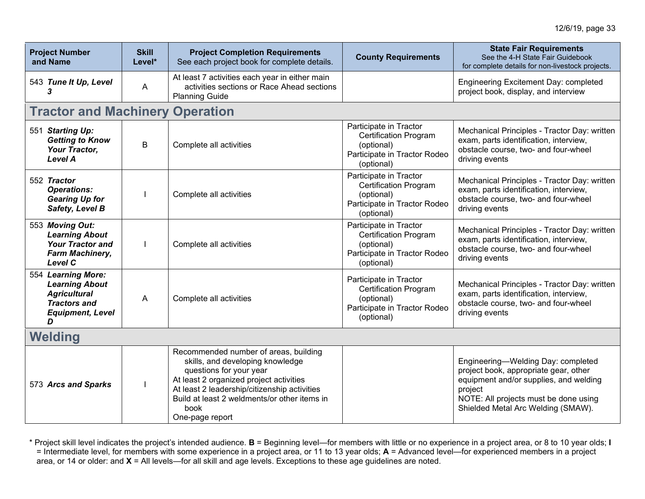| <b>Project Number</b><br>and Name                                                                                         | <b>Skill</b><br>Level* | <b>Project Completion Requirements</b><br>See each project book for complete details.                                                                                                                                                                                      | <b>County Requirements</b>                                                                                         | <b>State Fair Requirements</b><br>See the 4-H State Fair Guidebook<br>for complete details for non-livestock projects.                                                                                          |
|---------------------------------------------------------------------------------------------------------------------------|------------------------|----------------------------------------------------------------------------------------------------------------------------------------------------------------------------------------------------------------------------------------------------------------------------|--------------------------------------------------------------------------------------------------------------------|-----------------------------------------------------------------------------------------------------------------------------------------------------------------------------------------------------------------|
| 543 Tune It Up, Level<br>3                                                                                                | Α                      | At least 7 activities each year in either main<br>activities sections or Race Ahead sections<br><b>Planning Guide</b>                                                                                                                                                      |                                                                                                                    | Engineering Excitement Day: completed<br>project book, display, and interview                                                                                                                                   |
| <b>Tractor and Machinery Operation</b>                                                                                    |                        |                                                                                                                                                                                                                                                                            |                                                                                                                    |                                                                                                                                                                                                                 |
| 551 Starting Up:<br><b>Getting to Know</b><br>Your Tractor,<br><b>Level A</b>                                             | B                      | Complete all activities                                                                                                                                                                                                                                                    | Participate in Tractor<br><b>Certification Program</b><br>(optional)<br>Participate in Tractor Rodeo<br>(optional) | Mechanical Principles - Tractor Day: written<br>exam, parts identification, interview,<br>obstacle course, two- and four-wheel<br>driving events                                                                |
| 552 Tractor<br><b>Operations:</b><br><b>Gearing Up for</b><br>Safety, Level B                                             |                        | Complete all activities                                                                                                                                                                                                                                                    | Participate in Tractor<br><b>Certification Program</b><br>(optional)<br>Participate in Tractor Rodeo<br>(optional) | Mechanical Principles - Tractor Day: written<br>exam, parts identification, interview,<br>obstacle course, two- and four-wheel<br>driving events                                                                |
| 553 Moving Out:<br><b>Learning About</b><br><b>Your Tractor and</b><br>Farm Machinery,<br>Level C                         |                        | Complete all activities                                                                                                                                                                                                                                                    | Participate in Tractor<br><b>Certification Program</b><br>(optional)<br>Participate in Tractor Rodeo<br>(optional) | Mechanical Principles - Tractor Day: written<br>exam, parts identification, interview,<br>obstacle course, two- and four-wheel<br>driving events                                                                |
| 554 Learning More:<br><b>Learning About</b><br><b>Agricultural</b><br><b>Tractors and</b><br><b>Equipment, Level</b><br>D | A                      | Complete all activities                                                                                                                                                                                                                                                    | Participate in Tractor<br><b>Certification Program</b><br>(optional)<br>Participate in Tractor Rodeo<br>(optional) | Mechanical Principles - Tractor Day: written<br>exam, parts identification, interview,<br>obstacle course, two- and four-wheel<br>driving events                                                                |
| Welding                                                                                                                   |                        |                                                                                                                                                                                                                                                                            |                                                                                                                    |                                                                                                                                                                                                                 |
| 573 Arcs and Sparks                                                                                                       |                        | Recommended number of areas, building<br>skills, and developing knowledge<br>questions for your year<br>At least 2 organized project activities<br>At least 2 leadership/citizenship activities<br>Build at least 2 weldments/or other items in<br>book<br>One-page report |                                                                                                                    | Engineering-Welding Day: completed<br>project book, appropriate gear, other<br>equipment and/or supplies, and welding<br>project<br>NOTE: All projects must be done using<br>Shielded Metal Arc Welding (SMAW). |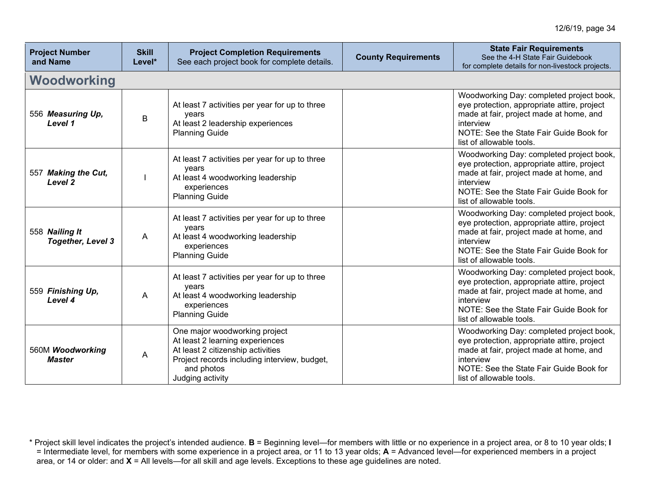| <b>Project Number</b><br>and Name          | <b>Skill</b><br>Level* | <b>Project Completion Requirements</b><br>See each project book for complete details.                                                                                                   | <b>County Requirements</b> | <b>State Fair Requirements</b><br>See the 4-H State Fair Guidebook<br>for complete details for non-livestock projects.                                                                                                 |
|--------------------------------------------|------------------------|-----------------------------------------------------------------------------------------------------------------------------------------------------------------------------------------|----------------------------|------------------------------------------------------------------------------------------------------------------------------------------------------------------------------------------------------------------------|
| Woodworking                                |                        |                                                                                                                                                                                         |                            |                                                                                                                                                                                                                        |
| 556 Measuring Up,<br>Level 1               | B                      | At least 7 activities per year for up to three<br>years<br>At least 2 leadership experiences<br><b>Planning Guide</b>                                                                   |                            | Woodworking Day: completed project book,<br>eye protection, appropriate attire, project<br>made at fair, project made at home, and<br>interview<br>NOTE: See the State Fair Guide Book for<br>list of allowable tools. |
| 557 Making the Cut,<br>Level 2             |                        | At least 7 activities per year for up to three<br>years<br>At least 4 woodworking leadership<br>experiences<br><b>Planning Guide</b>                                                    |                            | Woodworking Day: completed project book,<br>eye protection, appropriate attire, project<br>made at fair, project made at home, and<br>interview<br>NOTE: See the State Fair Guide Book for<br>list of allowable tools. |
| 558 Nailing It<br><b>Together, Level 3</b> | A                      | At least 7 activities per year for up to three<br>years<br>At least 4 woodworking leadership<br>experiences<br><b>Planning Guide</b>                                                    |                            | Woodworking Day: completed project book,<br>eye protection, appropriate attire, project<br>made at fair, project made at home, and<br>interview<br>NOTE: See the State Fair Guide Book for<br>list of allowable tools. |
| 559 Finishing Up,<br>Level 4               | A                      | At least 7 activities per year for up to three<br>years<br>At least 4 woodworking leadership<br>experiences<br><b>Planning Guide</b>                                                    |                            | Woodworking Day: completed project book,<br>eye protection, appropriate attire, project<br>made at fair, project made at home, and<br>interview<br>NOTE: See the State Fair Guide Book for<br>list of allowable tools. |
| 560M Woodworking<br><b>Master</b>          | A                      | One major woodworking project<br>At least 2 learning experiences<br>At least 2 citizenship activities<br>Project records including interview, budget,<br>and photos<br>Judging activity |                            | Woodworking Day: completed project book,<br>eye protection, appropriate attire, project<br>made at fair, project made at home, and<br>interview<br>NOTE: See the State Fair Guide Book for<br>list of allowable tools. |